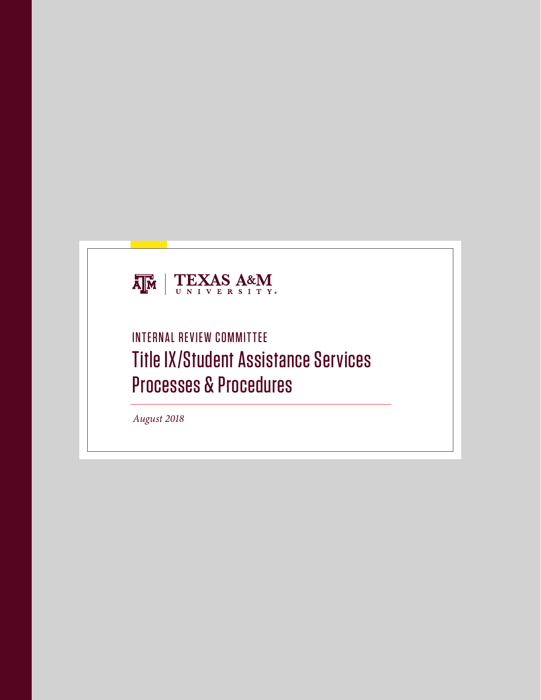

# INTERNAL REVIEW COMMITTEE Title IX/Student Assistance Services Processes & Procedures

*August 2018*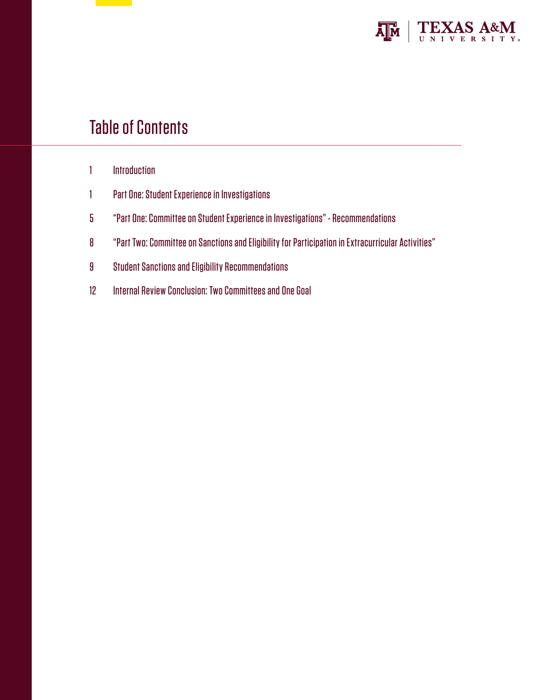

# Table of Contents

- 1 Introduction
- 1 Part One: Student Experience in Investigations
- 5 "Part One: Committee on Student Experience in Investigations" Recommendations
- 8 "Part Two: Committee on Sanctions and Eligibility for Participation in Extracurricular Activities"
- 9 Student Sanctions and Eligibility Recommendations
- 12 Internal Review Conclusion: Two Committees and One Goal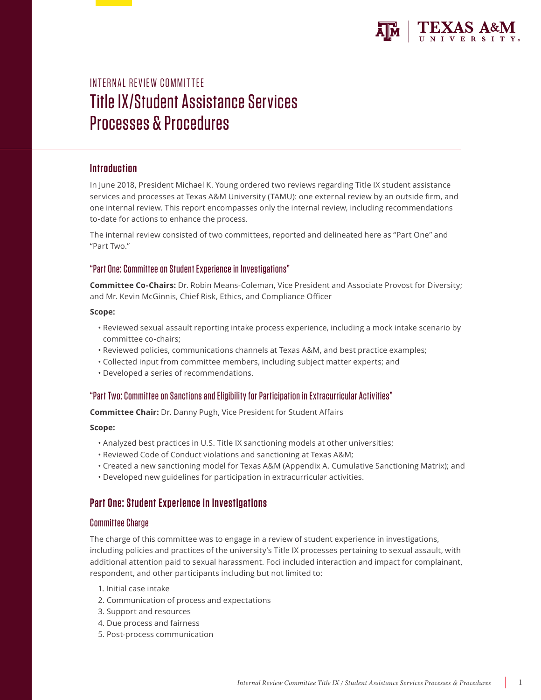

# INTERNAL REVIEW COMMITTEE Title IX/Student Assistance Services Processes & Procedures

## **Introduction**

In June 2018, President Michael K. Young ordered two reviews regarding Title IX student assistance services and processes at Texas A&M University (TAMU): one external review by an outside firm, and one internal review. This report encompasses only the internal review, including recommendations to-date for actions to enhance the process.

The internal review consisted of two committees, reported and delineated here as "Part One" and "Part Two."

### "Part One: Committee on Student Experience in Investigations"

**Committee Co-Chairs:** Dr. Robin Means-Coleman, Vice President and Associate Provost for Diversity; and Mr. Kevin McGinnis, Chief Risk, Ethics, and Compliance Officer

### **Scope:**

- Reviewed sexual assault reporting intake process experience, including a mock intake scenario by committee co-chairs;
- Reviewed policies, communications channels at Texas A&M, and best practice examples;
- Collected input from committee members, including subject matter experts; and
- Developed a series of recommendations.

## "Part Two: Committee on Sanctions and Eligibility for Participation in Extracurricular Activities"

**Committee Chair:** Dr. Danny Pugh, Vice President for Student Affairs

### **Scope:**

- Analyzed best practices in U.S. Title IX sanctioning models at other universities;
- Reviewed Code of Conduct violations and sanctioning at Texas A&M;
- Created a new sanctioning model for Texas A&M (Appendix A. Cumulative Sanctioning Matrix); and
- Developed new guidelines for participation in extracurricular activities.

## **Part One: Student Experience in Investigations**

### Committee Charge

The charge of this committee was to engage in a review of student experience in investigations, including policies and practices of the university's Title IX processes pertaining to sexual assault, with additional attention paid to sexual harassment. Foci included interaction and impact for complainant, respondent, and other participants including but not limited to:

- 1. Initial case intake
- 2. Communication of process and expectations
- 3. Support and resources
- 4. Due process and fairness
- 5. Post-process communication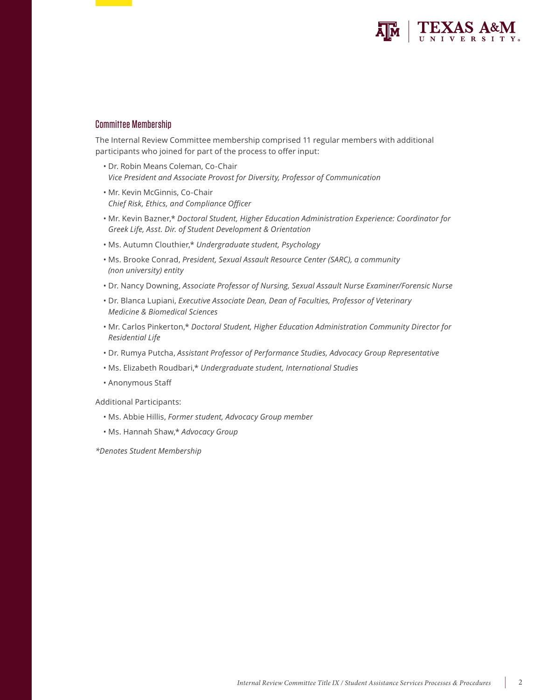

### Committee Membership

The Internal Review Committee membership comprised 11 regular members with additional participants who joined for part of the process to offer input:

- Dr. Robin Means Coleman, Co-Chair *Vice President and Associate Provost for Diversity, Professor of Communication*
- Mr. Kevin McGinnis, Co-Chair *Chief Risk, Ethics, and Compliance Officer*
- Mr. Kevin Bazner,\* *Doctoral Student, Higher Education Administration Experience: Coordinator for Greek Life, Asst. Dir. of Student Development & Orientation*
- Ms. Autumn Clouthier,\* *Undergraduate student, Psychology*
- Ms. Brooke Conrad, *President, Sexual Assault Resource Center (SARC), a community (non university) entity*
- Dr. Nancy Downing, *Associate Professor of Nursing, Sexual Assault Nurse Examiner/Forensic Nurse*
- Dr. Blanca Lupiani, *Executive Associate Dean, Dean of Faculties, Professor of Veterinary Medicine & Biomedical Sciences*
- Mr. Carlos Pinkerton,\* *Doctoral Student, Higher Education Administration Community Director for Residential Life*
- Dr. Rumya Putcha, *Assistant Professor of Performance Studies, Advocacy Group Representative*
- Ms. Elizabeth Roudbari,\* *Undergraduate student, International Studies*
- Anonymous Staff

Additional Participants:

- Ms. Abbie Hillis, *Former student, Advocacy Group member*
- Ms. Hannah Shaw,\* *Advocacy Group*

*\*Denotes Student Membership*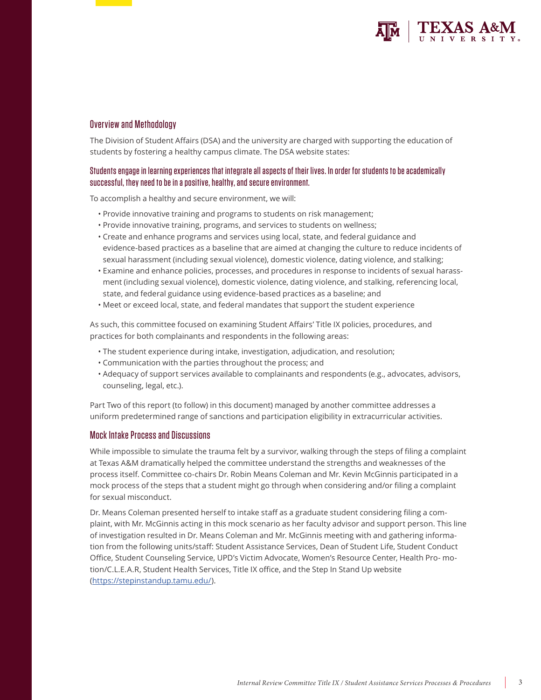

### Overview and Methodology

The Division of Student Affairs (DSA) and the university are charged with supporting the education of students by fostering a healthy campus climate. The DSA website states:

## Students engage in learning experiences that integrate all aspects of their lives. In order for students to be academically successful, they need to be in a positive, healthy, and secure environment.

To accomplish a healthy and secure environment, we will:

- Provide innovative training and programs to students on risk management;
- Provide innovative training, programs, and services to students on wellness;
- Create and enhance programs and services using local, state, and federal guidance and evidence-based practices as a baseline that are aimed at changing the culture to reduce incidents of sexual harassment (including sexual violence), domestic violence, dating violence, and stalking;
- Examine and enhance policies, processes, and procedures in response to incidents of sexual harassment (including sexual violence), domestic violence, dating violence, and stalking, referencing local, state, and federal guidance using evidence-based practices as a baseline; and
- Meet or exceed local, state, and federal mandates that support the student experience

As such, this committee focused on examining Student Affairs' Title IX policies, procedures, and practices for both complainants and respondents in the following areas:

- The student experience during intake, investigation, adjudication, and resolution;
- Communication with the parties throughout the process; and
- Adequacy of support services available to complainants and respondents (e.g., advocates, advisors, counseling, legal, etc.).

Part Two of this report (to follow) in this document) managed by another committee addresses a uniform predetermined range of sanctions and participation eligibility in extracurricular activities.

### Mock Intake Process and Discussions

While impossible to simulate the trauma felt by a survivor, walking through the steps of filing a complaint at Texas A&M dramatically helped the committee understand the strengths and weaknesses of the process itself. Committee co-chairs Dr. Robin Means Coleman and Mr. Kevin McGinnis participated in a mock process of the steps that a student might go through when considering and/or filing a complaint for sexual misconduct.

Dr. Means Coleman presented herself to intake staff as a graduate student considering filing a complaint, with Mr. McGinnis acting in this mock scenario as her faculty advisor and support person. This line of investigation resulted in Dr. Means Coleman and Mr. McGinnis meeting with and gathering information from the following units/staff: Student Assistance Services, Dean of Student Life, Student Conduct Office, Student Counseling Service, UPD's Victim Advocate, Women's Resource Center, Health Pro- motion/C.L.E.A.R, Student Health Services, Title IX office, and the Step In Stand Up website (https://stepinstandup.tamu.edu/).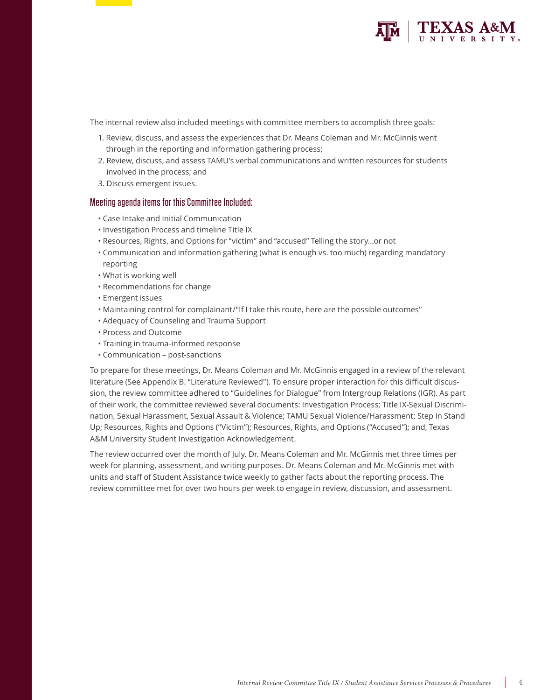

The internal review also included meetings with committee members to accomplish three goals:

- 1. Review, discuss, and assess the experiences that Dr. Means Coleman and Mr. McGinnis went through in the reporting and information gathering process;
- 2. Review, discuss, and assess TAMU's verbal communications and written resources for students involved in the process; and
- 3. Discuss emergent issues.

### Meeting agenda items for this Committee Included:

- Case Intake and Initial Communication
- Investigation Process and timeline Title IX
- Resources, Rights, and Options for "victim" and "accused" Telling the story…or not
- Communication and information gathering (what is enough vs. too much) regarding mandatory reporting
- What is working well
- Recommendations for change
- Emergent issues
- Maintaining control for complainant/"If I take this route, here are the possible outcomes"
- Adequacy of Counseling and Trauma Support
- Process and Outcome
- Training in trauma-informed response
- Communication post-sanctions

To prepare for these meetings, Dr. Means Coleman and Mr. McGinnis engaged in a review of the relevant literature (See Appendix B. "Literature Reviewed"). To ensure proper interaction for this difficult discussion, the review committee adhered to "Guidelines for Dialogue" from Intergroup Relations (IGR). As part of their work, the committee reviewed several documents: Investigation Process; Title IX-Sexual Discrimination, Sexual Harassment, Sexual Assault & Violence; TAMU Sexual Violence/Harassment; Step In Stand Up; Resources, Rights and Options ("Victim"); Resources, Rights, and Options ("Accused"); and, Texas A&M University Student Investigation Acknowledgement.

The review occurred over the month of July. Dr. Means Coleman and Mr. McGinnis met three times per week for planning, assessment, and writing purposes. Dr. Means Coleman and Mr. McGinnis met with units and staff of Student Assistance twice weekly to gather facts about the reporting process. The review committee met for over two hours per week to engage in review, discussion, and assessment.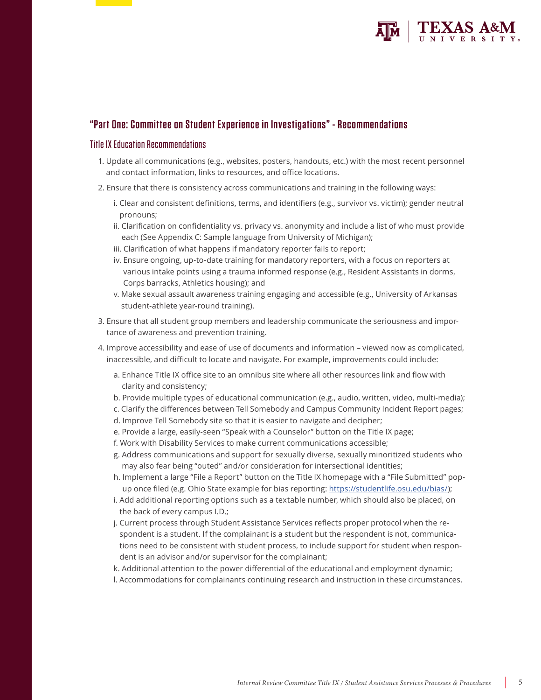

# **"Part One: Committee on Student Experience in Investigations" - Recommendations**

### Title IX Education Recommendations

- 1. Update all communications (e.g., websites, posters, handouts, etc.) with the most recent personnel and contact information, links to resources, and office locations.
- 2. Ensure that there is consistency across communications and training in the following ways:
	- i. Clear and consistent definitions, terms, and identifiers (e.g., survivor vs. victim); gender neutral pronouns;
	- ii. Clarification on confidentiality vs. privacy vs. anonymity and include a list of who must provide each (See Appendix C: Sample language from University of Michigan);
	- iii. Clarification of what happens if mandatory reporter fails to report;
	- iv. Ensure ongoing, up-to-date training for mandatory reporters, with a focus on reporters at various intake points using a trauma informed response (e.g., Resident Assistants in dorms, Corps barracks, Athletics housing); and
	- v. Make sexual assault awareness training engaging and accessible (e.g., University of Arkansas student-athlete year-round training).
- 3. Ensure that all student group members and leadership communicate the seriousness and importance of awareness and prevention training.
- 4. Improve accessibility and ease of use of documents and information viewed now as complicated, inaccessible, and difficult to locate and navigate. For example, improvements could include:
	- a. Enhance Title IX office site to an omnibus site where all other resources link and flow with clarity and consistency;
	- b. Provide multiple types of educational communication (e.g., audio, written, video, multi-media);
	- c. Clarify the differences between Tell Somebody and Campus Community Incident Report pages;
	- d. Improve Tell Somebody site so that it is easier to navigate and decipher;
	- e. Provide a large, easily-seen "Speak with a Counselor" button on the Title IX page;
	- f. Work with Disability Services to make current communications accessible;
	- g. Address communications and support for sexually diverse, sexually minoritized students who may also fear being "outed" and/or consideration for intersectional identities;
	- h. Implement a large "File a Report" button on the Title IX homepage with a "File Submitted" popup once filed (e.g. Ohio State example for bias reporting: https://studentlife.osu.edu/bias/);
	- i. Add additional reporting options such as a textable number, which should also be placed, on the back of every campus I.D.;
	- j. Current process through Student Assistance Services reflects proper protocol when the respondent is a student. If the complainant is a student but the respondent is not, communications need to be consistent with student process, to include support for student when respondent is an advisor and/or supervisor for the complainant;
	- k. Additional attention to the power differential of the educational and employment dynamic;
	- l. Accommodations for complainants continuing research and instruction in these circumstances.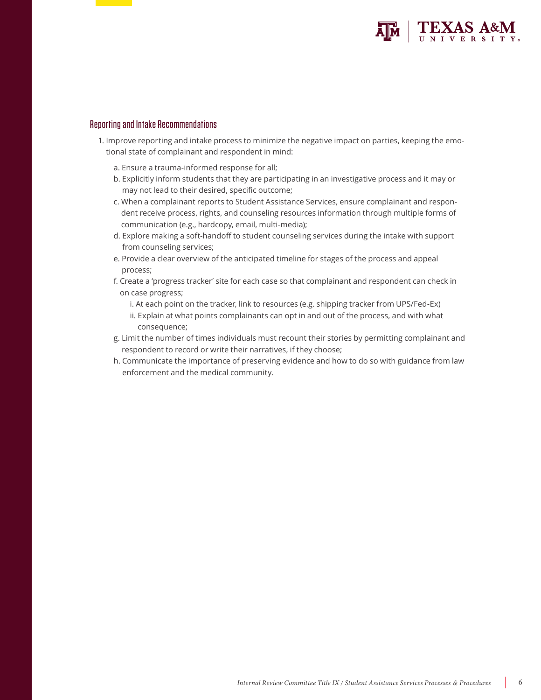

### Reporting and Intake Recommendations

- 1. Improve reporting and intake process to minimize the negative impact on parties, keeping the emotional state of complainant and respondent in mind:
	- a. Ensure a trauma-informed response for all;
	- b. Explicitly inform students that they are participating in an investigative process and it may or may not lead to their desired, specific outcome;
	- c. When a complainant reports to Student Assistance Services, ensure complainant and respondent receive process, rights, and counseling resources information through multiple forms of communication (e.g., hardcopy, email, multi-media);
	- d. Explore making a soft-handoff to student counseling services during the intake with support from counseling services;
	- e. Provide a clear overview of the anticipated timeline for stages of the process and appeal process;
	- f. Create a 'progress tracker' site for each case so that complainant and respondent can check in on case progress;
		- i. At each point on the tracker, link to resources (e.g. shipping tracker from UPS/Fed-Ex)
		- ii. Explain at what points complainants can opt in and out of the process, and with what consequence;
	- g. Limit the number of times individuals must recount their stories by permitting complainant and respondent to record or write their narratives, if they choose;
	- h. Communicate the importance of preserving evidence and how to do so with guidance from law enforcement and the medical community.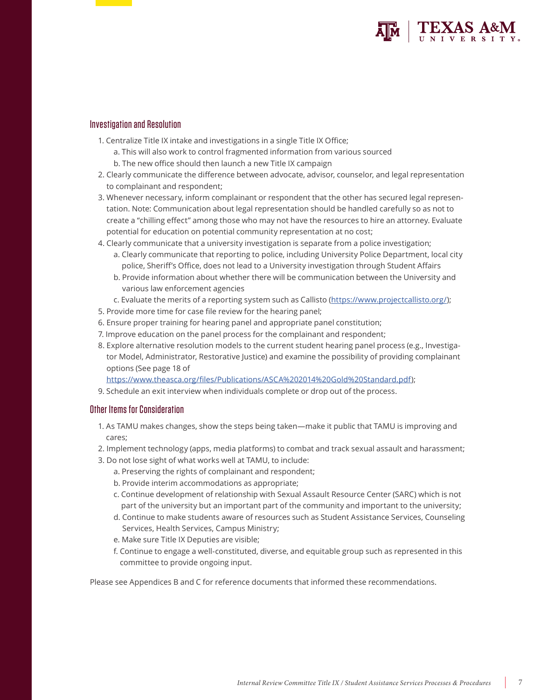

### Investigation and Resolution

- 1. Centralize Title IX intake and investigations in a single Title IX Office;
	- a. This will also work to control fragmented information from various sourced
	- b. The new office should then launch a new Title IX campaign
- 2. Clearly communicate the difference between advocate, advisor, counselor, and legal representation to complainant and respondent;
- 3. Whenever necessary, inform complainant or respondent that the other has secured legal representation. Note: Communication about legal representation should be handled carefully so as not to create a "chilling effect" among those who may not have the resources to hire an attorney. Evaluate potential for education on potential community representation at no cost;
- 4. Clearly communicate that a university investigation is separate from a police investigation;
	- a. Clearly communicate that reporting to police, including University Police Department, local city police, Sheriff's Office, does not lead to a University investigation through Student Affairs
	- b. Provide information about whether there will be communication between the University and various law enforcement agencies
	- c. Evaluate the merits of a reporting system such as Callisto (https://www.projectcallisto.org/);
- 5. Provide more time for case file review for the hearing panel;
- 6. Ensure proper training for hearing panel and appropriate panel constitution;
- 7. Improve education on the panel process for the complainant and respondent;
- 8. Explore alternative resolution models to the current student hearing panel process (e.g., Investigator Model, Administrator, Restorative Justice) and examine the possibility of providing complainant options (See page 18 of
	- https://www.theasca.org/files/Publications/ASCA%202014%20Gold%20Standard.pdf);
- 9. Schedule an exit interview when individuals complete or drop out of the process.

### Other Items for Consideration

- 1. As TAMU makes changes, show the steps being taken—make it public that TAMU is improving and cares;
- 2. Implement technology (apps, media platforms) to combat and track sexual assault and harassment;
- 3. Do not lose sight of what works well at TAMU, to include:
	- a. Preserving the rights of complainant and respondent;
	- b. Provide interim accommodations as appropriate;
	- c. Continue development of relationship with Sexual Assault Resource Center (SARC) which is not part of the university but an important part of the community and important to the university;
	- d. Continue to make students aware of resources such as Student Assistance Services, Counseling Services, Health Services, Campus Ministry;
	- e. Make sure Title IX Deputies are visible;
	- f. Continue to engage a well-constituted, diverse, and equitable group such as represented in this committee to provide ongoing input.

Please see Appendices B and C for reference documents that informed these recommendations.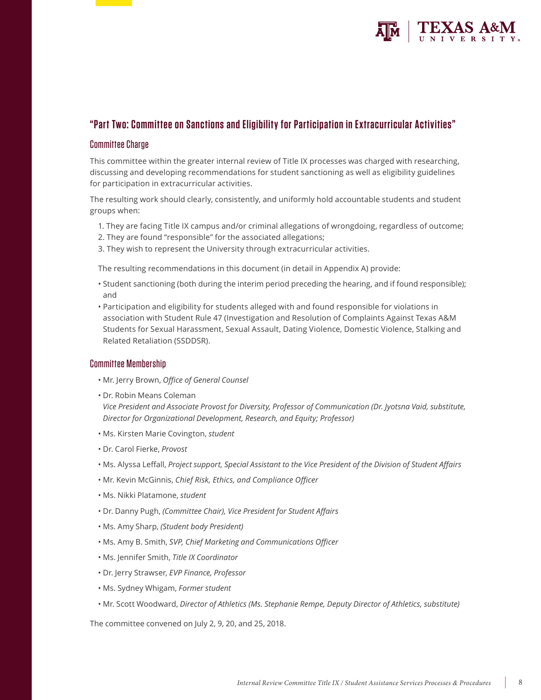

# **"Part Two: Committee on Sanctions and Eligibility for Participation in Extracurricular Activities"**

## Committee Charge

This committee within the greater internal review of Title IX processes was charged with researching, discussing and developing recommendations for student sanctioning as well as eligibility guidelines for participation in extracurricular activities.

The resulting work should clearly, consistently, and uniformly hold accountable students and student groups when:

- 1. They are facing Title IX campus and/or criminal allegations of wrongdoing, regardless of outcome;
- 2. They are found "responsible" for the associated allegations;
- 3. They wish to represent the University through extracurricular activities.

The resulting recommendations in this document (in detail in Appendix A) provide:

- Student sanctioning (both during the interim period preceding the hearing, and if found responsible); and
- Participation and eligibility for students alleged with and found responsible for violations in association with Student Rule 47 (Investigation and Resolution of Complaints Against Texas A&M Students for Sexual Harassment, Sexual Assault, Dating Violence, Domestic Violence, Stalking and Related Retaliation (SSDDSR).

### Committee Membership

- Mr. Jerry Brown, *Office of General Counsel*
- Dr. Robin Means Coleman

*Vice President and Associate Provost for Diversity, Professor of Communication (Dr. Jyotsna Vaid, substitute, Director for Organizational Development, Research, and Equity; Professor)*

- Ms. Kirsten Marie Covington, *student*
- Dr. Carol Fierke, *Provost*
- Ms. Alyssa Leffall, *Project support, Special Assistant to the Vice President of the Division of Student Affairs*
- Mr. Kevin McGinnis, *Chief Risk, Ethics, and Compliance Officer*
- Ms. Nikki Platamone, *student*
- Dr. Danny Pugh, *(Committee Chair), Vice President for Student Affairs*
- Ms. Amy Sharp, *(Student body President)*
- Ms. Amy B. Smith, *SVP, Chief Marketing and Communications Officer*
- Ms. Jennifer Smith, *Title IX Coordinator*
- Dr. Jerry Strawser, *EVP Finance, Professor*
- Ms. Sydney Whigam, *Former student*
- Mr. Scott Woodward, *Director of Athletics (Ms. Stephanie Rempe, Deputy Director of Athletics, substitute)*

The committee convened on July 2, 9, 20, and 25, 2018.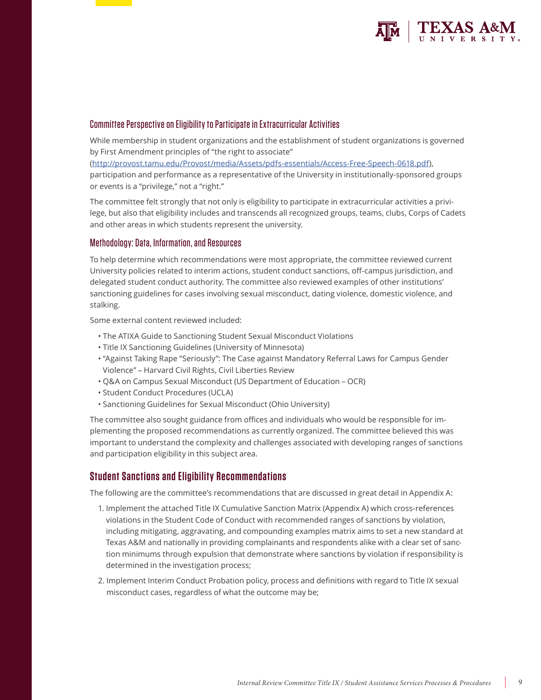

### Committee Perspective on Eligibility to Participate in Extracurricular Activities

While membership in student organizations and the establishment of student organizations is governed by First Amendment principles of "the right to associate"

(http://provost.tamu.edu/Provost/media/Assets/pdfs-essentials/Access-Free-Speech-0618.pdf), participation and performance as a representative of the University in institutionally-sponsored groups or events is a "privilege," not a "right."

The committee felt strongly that not only is eligibility to participate in extracurricular activities a privilege, but also that eligibility includes and transcends all recognized groups, teams, clubs, Corps of Cadets and other areas in which students represent the university.

### Methodology: Data, Information, and Resources

To help determine which recommendations were most appropriate, the committee reviewed current University policies related to interim actions, student conduct sanctions, off-campus jurisdiction, and delegated student conduct authority. The committee also reviewed examples of other institutions' sanctioning guidelines for cases involving sexual misconduct, dating violence, domestic violence, and stalking.

Some external content reviewed included:

- The ATIXA Guide to Sanctioning Student Sexual Misconduct Violations
- Title IX Sanctioning Guidelines (University of Minnesota)
- "Against Taking Rape "Seriously": The Case against Mandatory Referral Laws for Campus Gender Violence" – Harvard Civil Rights, Civil Liberties Review
- Q&A on Campus Sexual Misconduct (US Department of Education OCR)
- Student Conduct Procedures (UCLA)
- Sanctioning Guidelines for Sexual Misconduct (Ohio University)

The committee also sought guidance from offices and individuals who would be responsible for implementing the proposed recommendations as currently organized. The committee believed this was important to understand the complexity and challenges associated with developing ranges of sanctions and participation eligibility in this subject area.

## **Student Sanctions and Eligibility Recommendations**

The following are the committee's recommendations that are discussed in great detail in Appendix A:

- 1. Implement the attached Title IX Cumulative Sanction Matrix (Appendix A) which cross-references violations in the Student Code of Conduct with recommended ranges of sanctions by violation, including mitigating, aggravating, and compounding examples matrix aims to set a new standard at Texas A&M and nationally in providing complainants and respondents alike with a clear set of sanction minimums through expulsion that demonstrate where sanctions by violation if responsibility is determined in the investigation process;
- 2. Implement Interim Conduct Probation policy, process and definitions with regard to Title IX sexual misconduct cases, regardless of what the outcome may be;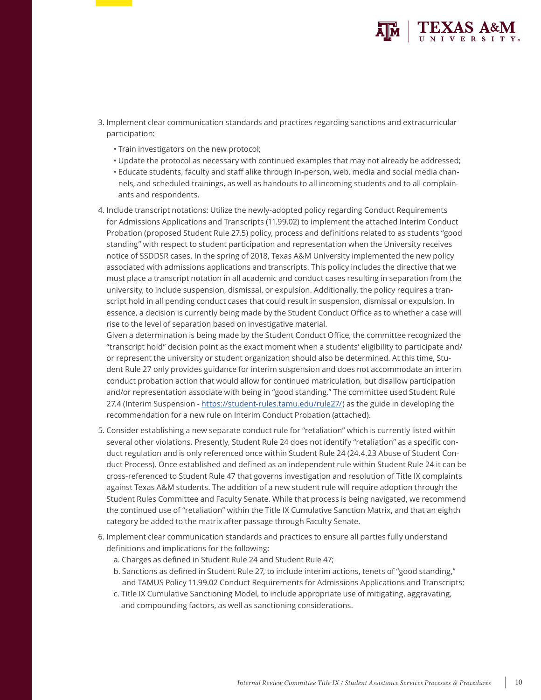

- 3. Implement clear communication standards and practices regarding sanctions and extracurricular participation:
	- Train investigators on the new protocol;
	- Update the protocol as necessary with continued examples that may not already be addressed;
	- Educate students, faculty and staff alike through in-person, web, media and social media channels, and scheduled trainings, as well as handouts to all incoming students and to all complainants and respondents.
- 4. Include transcript notations: Utilize the newly-adopted policy regarding Conduct Requirements for Admissions Applications and Transcripts (11.99.02) to implement the attached Interim Conduct Probation (proposed Student Rule 27.5) policy, process and definitions related to as students "good standing" with respect to student participation and representation when the University receives notice of SSDDSR cases. In the spring of 2018, Texas A&M University implemented the new policy associated with admissions applications and transcripts. This policy includes the directive that we must place a transcript notation in all academic and conduct cases resulting in separation from the university, to include suspension, dismissal, or expulsion. Additionally, the policy requires a transcript hold in all pending conduct cases that could result in suspension, dismissal or expulsion. In essence, a decision is currently being made by the Student Conduct Office as to whether a case will rise to the level of separation based on investigative material.

Given a determination is being made by the Student Conduct Office, the committee recognized the "transcript hold" decision point as the exact moment when a students' eligibility to participate and/ or represent the university or student organization should also be determined. At this time, Student Rule 27 only provides guidance for interim suspension and does not accommodate an interim conduct probation action that would allow for continued matriculation, but disallow participation and/or representation associate with being in "good standing." The committee used Student Rule 27.4 (Interim Suspension - https://student-rules.tamu.edu/rule27/) as the guide in developing the recommendation for a new rule on Interim Conduct Probation (attached).

- 5. Consider establishing a new separate conduct rule for "retaliation" which is currently listed within several other violations. Presently, Student Rule 24 does not identify "retaliation" as a specific conduct regulation and is only referenced once within Student Rule 24 (24.4.23 Abuse of Student Conduct Process). Once established and defined as an independent rule within Student Rule 24 it can be cross-referenced to Student Rule 47 that governs investigation and resolution of Title IX complaints against Texas A&M students. The addition of a new student rule will require adoption through the Student Rules Committee and Faculty Senate. While that process is being navigated, we recommend the continued use of "retaliation" within the Title IX Cumulative Sanction Matrix, and that an eighth category be added to the matrix after passage through Faculty Senate.
- 6. Implement clear communication standards and practices to ensure all parties fully understand definitions and implications for the following:
	- a. Charges as defined in Student Rule 24 and Student Rule 47;
	- b. Sanctions as defined in Student Rule 27, to include interim actions, tenets of "good standing," and TAMUS Policy 11.99.02 Conduct Requirements for Admissions Applications and Transcripts;
	- c. Title IX Cumulative Sanctioning Model, to include appropriate use of mitigating, aggravating, and compounding factors, as well as sanctioning considerations.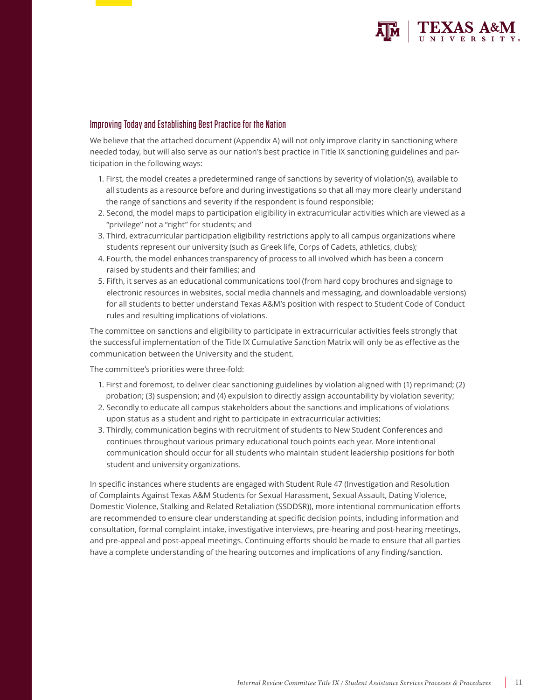

### Improving Today and Establishing Best Practice for the Nation

We believe that the attached document (Appendix A) will not only improve clarity in sanctioning where needed today, but will also serve as our nation's best practice in Title IX sanctioning guidelines and participation in the following ways:

- 1. First, the model creates a predetermined range of sanctions by severity of violation(s), available to all students as a resource before and during investigations so that all may more clearly understand the range of sanctions and severity if the respondent is found responsible;
- 2. Second, the model maps to participation eligibility in extracurricular activities which are viewed as a "privilege" not a "right" for students; and
- 3. Third, extracurricular participation eligibility restrictions apply to all campus organizations where students represent our university (such as Greek life, Corps of Cadets, athletics, clubs);
- 4. Fourth, the model enhances transparency of process to all involved which has been a concern raised by students and their families; and
- 5. Fifth, it serves as an educational communications tool (from hard copy brochures and signage to electronic resources in websites, social media channels and messaging, and downloadable versions) for all students to better understand Texas A&M's position with respect to Student Code of Conduct rules and resulting implications of violations.

The committee on sanctions and eligibility to participate in extracurricular activities feels strongly that the successful implementation of the Title IX Cumulative Sanction Matrix will only be as effective as the communication between the University and the student.

The committee's priorities were three-fold:

- 1. First and foremost, to deliver clear sanctioning guidelines by violation aligned with (1) reprimand; (2) probation; (3) suspension; and (4) expulsion to directly assign accountability by violation severity;
- 2. Secondly to educate all campus stakeholders about the sanctions and implications of violations upon status as a student and right to participate in extracurricular activities;
- 3. Thirdly, communication begins with recruitment of students to New Student Conferences and continues throughout various primary educational touch points each year. More intentional communication should occur for all students who maintain student leadership positions for both student and university organizations.

In specific instances where students are engaged with Student Rule 47 (Investigation and Resolution of Complaints Against Texas A&M Students for Sexual Harassment, Sexual Assault, Dating Violence, Domestic Violence, Stalking and Related Retaliation (SSDDSR)), more intentional communication efforts are recommended to ensure clear understanding at specific decision points, including information and consultation, formal complaint intake, investigative interviews, pre-hearing and post-hearing meetings, and pre-appeal and post-appeal meetings. Continuing efforts should be made to ensure that all parties have a complete understanding of the hearing outcomes and implications of any finding/sanction.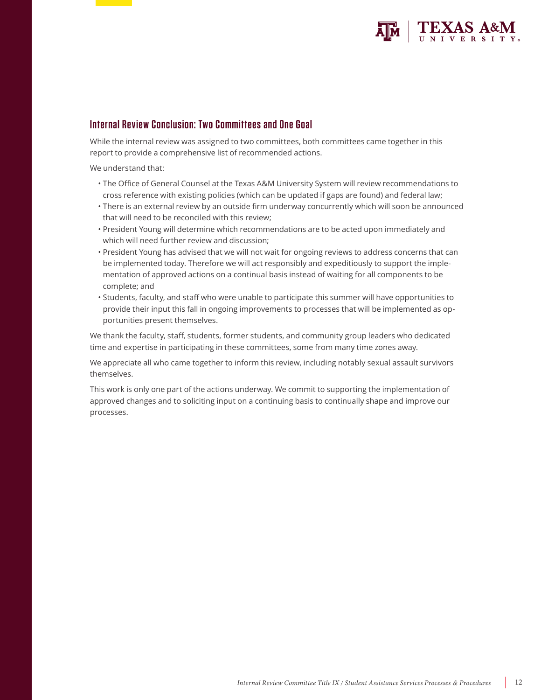

# **Internal Review Conclusion: Two Committees and One Goal**

While the internal review was assigned to two committees, both committees came together in this report to provide a comprehensive list of recommended actions.

We understand that:

- The Office of General Counsel at the Texas A&M University System will review recommendations to cross reference with existing policies (which can be updated if gaps are found) and federal law;
- There is an external review by an outside firm underway concurrently which will soon be announced that will need to be reconciled with this review;
- President Young will determine which recommendations are to be acted upon immediately and which will need further review and discussion;
- President Young has advised that we will not wait for ongoing reviews to address concerns that can be implemented today. Therefore we will act responsibly and expeditiously to support the implementation of approved actions on a continual basis instead of waiting for all components to be complete; and
- Students, faculty, and staff who were unable to participate this summer will have opportunities to provide their input this fall in ongoing improvements to processes that will be implemented as opportunities present themselves.

We thank the faculty, staff, students, former students, and community group leaders who dedicated time and expertise in participating in these committees, some from many time zones away.

We appreciate all who came together to inform this review, including notably sexual assault survivors themselves.

This work is only one part of the actions underway. We commit to supporting the implementation of approved changes and to soliciting input on a continuing basis to continually shape and improve our processes.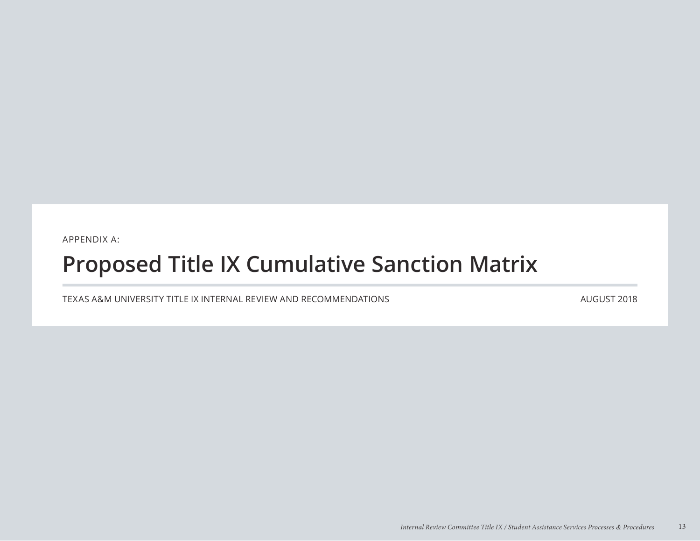APPENDIX A:

# **Proposed Title IX Cumulative Sanction Matrix**

TEXAS A&M UNIVERSITY TITLE IX INTERNAL REVIEW AND RECOMMENDATIONS

AUGUST 2018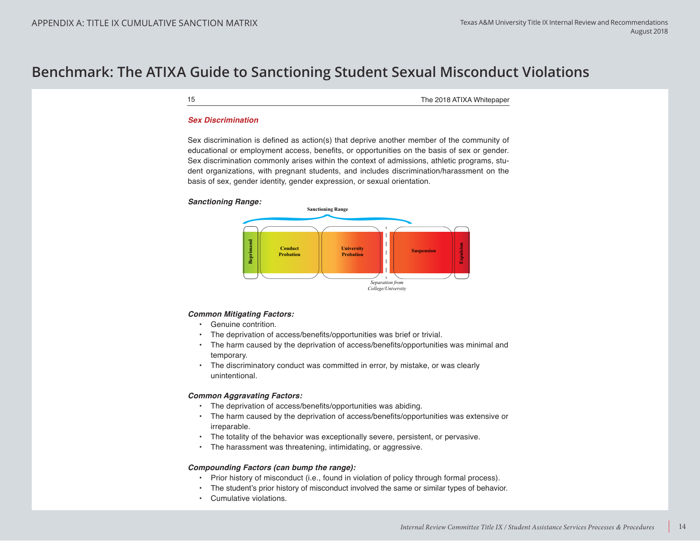# **Benchmark: The ATIXA Guide to Sanctioning Student Sexual Misconduct Violations**

15 The 2018 ATIXA Whitepaper

#### *Sex Discrimination*

Sex discrimination is defined as action(s) that deprive another member of the community of educational or employment access, benefits, or opportunities on the basis of sex or gender. Sex discrimination commonly arises within the context of admissions, athletic programs, student organizations, with pregnant students, and includes discrimination/harassment on the basis of sex, gender identity, gender expression, or sexual orientation.





### *Common Mitigating Factors:*

- Genuine contrition.
- The deprivation of access/benefits/opportunities was brief or trivial.
- The harm caused by the deprivation of access/benefits/opportunities was minimal and temporary.
- The discriminatory conduct was committed in error, by mistake, or was clearly unintentional.

### *Common Aggravating Factors:*

- The deprivation of access/benefits/opportunities was abiding.
- The harm caused by the deprivation of access/benefits/opportunities was extensive or irreparable.
- The totality of the behavior was exceptionally severe, persistent, or pervasive.
- The harassment was threatening, intimidating, or aggressive.

### *Compounding Factors (can bump the range):*

- Prior history of misconduct (i.e., found in violation of policy through formal process).
- The student's prior history of misconduct involved the same or similar types of behavior.
-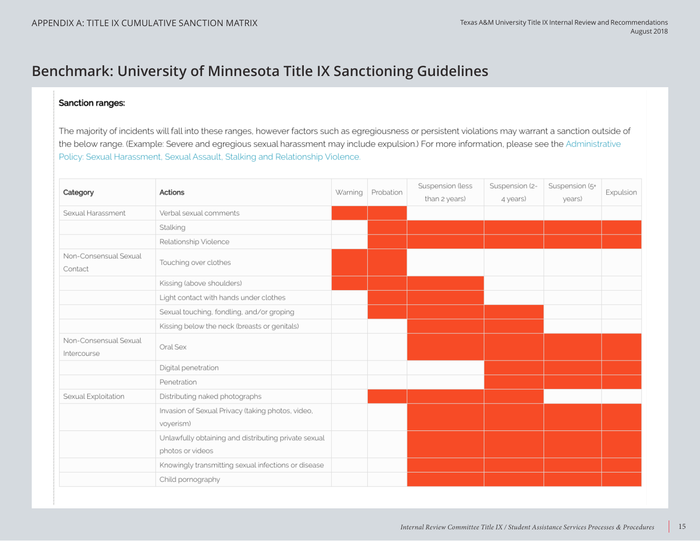# **Benchmark: University of Minnesota Title IX Sanctioning Guidelines**

## Sanction ranges:

The majority of incidents will fall into these ranges, however factors such as egregiousness or persistent violations may warrant a sanction outside of the below range. (Example: Severe and egregious sexual harassment may include expulsion.) For more information, please see the Administrative Policy: Sexual Harassment, Sexual Assault, Stalking and Relationship Violence.

| Category                             | Actions                                                                  | Warning | Probation | Suspension (less<br>than 2 years) | Suspension (2-<br>4 years) | Suspension (5+<br>years) | Expulsion |
|--------------------------------------|--------------------------------------------------------------------------|---------|-----------|-----------------------------------|----------------------------|--------------------------|-----------|
| Sexual Harassment                    | Verbal sexual comments                                                   |         |           |                                   |                            |                          |           |
|                                      | Stalking                                                                 |         |           |                                   |                            |                          |           |
|                                      | Relationship Violence                                                    |         |           |                                   |                            |                          |           |
| Non-Consensual Sexual<br>Contact     | Touching over clothes                                                    |         |           |                                   |                            |                          |           |
|                                      | Kissing (above shoulders)                                                |         |           |                                   |                            |                          |           |
|                                      | Light contact with hands under clothes                                   |         |           |                                   |                            |                          |           |
|                                      | Sexual touching, fondling, and/or groping                                |         |           |                                   |                            |                          |           |
|                                      | Kissing below the neck (breasts or genitals)                             |         |           |                                   |                            |                          |           |
| Non-Consensual Sexual<br>Intercourse | Oral Sex                                                                 |         |           |                                   |                            |                          |           |
|                                      | Digital penetration                                                      |         |           |                                   |                            |                          |           |
|                                      | Penetration                                                              |         |           |                                   |                            |                          |           |
| Sexual Exploitation                  | Distributing naked photographs                                           |         |           |                                   |                            |                          |           |
|                                      | Invasion of Sexual Privacy (taking photos, video,<br>voyerism)           |         |           |                                   |                            |                          |           |
|                                      | Unlawfully obtaining and distributing private sexual<br>photos or videos |         |           |                                   |                            |                          |           |
|                                      | Knowingly transmitting sexual infections or disease                      |         |           |                                   |                            |                          |           |
|                                      | Child pornography                                                        |         |           |                                   |                            |                          |           |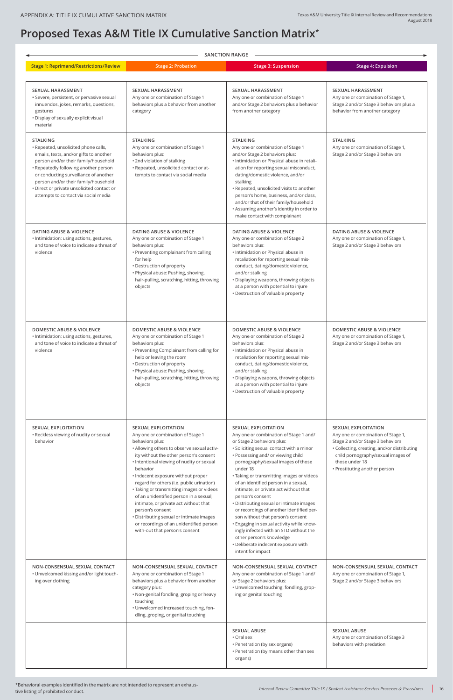# **Proposed Texas A&M Title IX Cumulative Sanction Matrix\***

|                                                                                                | • Distributing sexual or intimate images<br>or recordings of an unidentified person<br>with-out that person's consent                                                                                                                                                  | son without that person's consent<br>. Engaging in sexual activity while know-<br>ingly infected with an STD without the<br>other person's knowledge<br>• Deliberate indecent exposure with<br>intent for impact |                                                                                                         |
|------------------------------------------------------------------------------------------------|------------------------------------------------------------------------------------------------------------------------------------------------------------------------------------------------------------------------------------------------------------------------|------------------------------------------------------------------------------------------------------------------------------------------------------------------------------------------------------------------|---------------------------------------------------------------------------------------------------------|
| NON-CONSENSUAL SEXUAL CONTACT<br>• Unwelcomed kissing and/or light touch-<br>ing over clothing | NON-CONSENSUAL SEXUAL CONTACT<br>Any one or combination of Stage 1<br>behaviors plus a behavior from another<br>category plus:<br>. Non-genital fondling, groping or heavy<br>touching<br>. Unwelcomed increased touching, fon-<br>dling, groping, or genital touching | NON-CONSENSUAL SEXUAL CONTACT<br>Any one or combination of Stage 1 and/<br>or Stage 2 behaviors plus:<br>• Unwelcomed touching, fondling, grop-<br>ing or genital touching                                       | NON-CONSENSUAL SEXUAL CONTACT<br>Any one or combination of Stage 1,<br>Stage 2 and/or Stage 3 behaviors |
|                                                                                                |                                                                                                                                                                                                                                                                        | <b>SEXUAL ABUSE</b><br>• Oral sex<br>• Penetration (by sex organs)<br>• Penetration (by means other than sex<br>organs)                                                                                          | <b>SEXUAL ABUSE</b><br>Any one or combination of Stage 3<br>behaviors with predation                    |

| <b>SANCTION RANGE</b>                                                                                                                                                                                                                                                                                                                                     |                                                                                                                                                                                                                                                                                                                                                                                                                                                                            |                                                                                                                                                                                                                                                                                                                                                                                                                                                                                  |                                                                                                                                                                                                                                              |  |
|-----------------------------------------------------------------------------------------------------------------------------------------------------------------------------------------------------------------------------------------------------------------------------------------------------------------------------------------------------------|----------------------------------------------------------------------------------------------------------------------------------------------------------------------------------------------------------------------------------------------------------------------------------------------------------------------------------------------------------------------------------------------------------------------------------------------------------------------------|----------------------------------------------------------------------------------------------------------------------------------------------------------------------------------------------------------------------------------------------------------------------------------------------------------------------------------------------------------------------------------------------------------------------------------------------------------------------------------|----------------------------------------------------------------------------------------------------------------------------------------------------------------------------------------------------------------------------------------------|--|
| <b>Stage 1: Reprimand/Restrictions/Review</b>                                                                                                                                                                                                                                                                                                             | <b>Stage 2: Probation</b>                                                                                                                                                                                                                                                                                                                                                                                                                                                  | <b>Stage 3: Suspension</b>                                                                                                                                                                                                                                                                                                                                                                                                                                                       | <b>Stage 4: Expulsion</b>                                                                                                                                                                                                                    |  |
| <b>SEXUAL HARASSMENT</b><br>• Severe, persistent, or pervasive sexual<br>innuendos, jokes, remarks, questions,<br>gestures<br>· Display of sexually explicit visual<br>material                                                                                                                                                                           | <b>SEXUAL HARASSMENT</b><br>Any one or combination of Stage 1<br>behaviors plus a behavior from another<br>category                                                                                                                                                                                                                                                                                                                                                        | <b>SEXUAL HARASSMENT</b><br>Any one or combination of Stage 1<br>and/or Stage 2 behaviors plus a behavior<br>from another category                                                                                                                                                                                                                                                                                                                                               | <b>SEXUAL HARASSMENT</b><br>Any one or combination of Stage 1,<br>Stage 2 and/or Stage 3 behaviors plus a<br>behavior from another category                                                                                                  |  |
| <b>STALKING</b><br>· Repeated, unsolicited phone calls,<br>emails, texts, and/or gifts to another<br>person and/or their family/household<br>• Repeatedly following another person<br>or conducting surveillance of another<br>person and/or their family/household<br>· Direct or private unsolicited contact or<br>attempts to contact via social media | <b>STALKING</b><br>Any one or combination of Stage 1<br>behaviors plus:<br>• 2nd violation of stalking<br>· Repeated, unsolicited contact or at-<br>tempts to contact via social media                                                                                                                                                                                                                                                                                     | <b>STALKING</b><br>Any one or combination of Stage 1<br>and/or Stage 2 behaviors plus:<br>· Intimidation or Physical abuse in retali-<br>ation for reporting sexual misconduct,<br>dating/domestic violence, and/or<br>stalking<br>• Repeated, unsolicited visits to another<br>person's home, business, and/or class,<br>and/or that of their family/household<br>• Assuming another's identity in order to<br>make contact with complainant                                    | <b>STALKING</b><br>Any one or combination of Stage 1,<br>Stage 2 and/or Stage 3 behaviors                                                                                                                                                    |  |
| <b>DATING ABUSE &amp; VIOLENCE</b><br>· Intimidation: using actions, gestures,<br>and tone of voice to indicate a threat of<br>violence                                                                                                                                                                                                                   | <b>DATING ABUSE &amp; VIOLENCE</b><br>Any one or combination of Stage 1<br>behaviors plus:<br>• Preventing complainant from calling<br>for help<br>• Destruction of property<br>• Physical abuse: Pushing, shoving,<br>hair-pulling, scratching, hitting, throwing<br>objects                                                                                                                                                                                              | <b>DATING ABUSE &amp; VIOLENCE</b><br>Any one or combination of Stage 2<br>behaviors plus:<br>· Intimidation or Physical abuse in<br>retaliation for reporting sexual mis-<br>conduct, dating/domestic violence,<br>and/or stalking<br>· Displaying weapons, throwing objects<br>at a person with potential to injure<br>• Destruction of valuable property                                                                                                                      | <b>DATING ABUSE &amp; VIOLENCE</b><br>Any one or combination of Stage 1,<br>Stage 2 and/or Stage 3 behaviors                                                                                                                                 |  |
| <b>DOMESTIC ABUSE &amp; VIOLENCE</b><br>· Intimidation: using actions, gestures,<br>and tone of voice to indicate a threat of<br>violence                                                                                                                                                                                                                 | <b>DOMESTIC ABUSE &amp; VIOLENCE</b><br>Any one or combination of Stage 1<br>behaviors plus:<br>• Preventing Complainant from calling for<br>help or leaving the room<br>• Destruction of property<br>• Physical abuse: Pushing, shoving,<br>hair-pulling, scratching, hitting, throwing<br>objects                                                                                                                                                                        | <b>DOMESTIC ABUSE &amp; VIOLENCE</b><br>Any one or combination of Stage 2<br>behaviors plus:<br>· Intimidation or Physical abuse in<br>retaliation for reporting sexual mis-<br>conduct, dating/domestic violence,<br>and/or stalking<br>• Displaying weapons, throwing objects<br>at a person with potential to injure<br>• Destruction of valuable property                                                                                                                    | <b>DOMESTIC ABUSE &amp; VIOLENCE</b><br>Any one or combination of Stage 1,<br>Stage 2 and/or Stage 3 behaviors                                                                                                                               |  |
| <b>SEXUAL EXPLOITATION</b><br>• Reckless viewing of nudity or sexual<br>behavior                                                                                                                                                                                                                                                                          | <b>SEXUAL EXPLOITATION</b><br>Any one or combination of Stage 1<br>behaviors plus:<br>• Allowing others to observe sexual activ-<br>ity without the other person's consent<br>· Intentional viewing of nudity or sexual<br>behavior<br>· Indecent exposure without proper<br>regard for others (i.e. public urination)<br>• Taking or transmitting images or videos<br>of an unidentified person in a sexual,<br>intimate, or private act without that<br>person's consent | <b>SEXUAL EXPLOITATION</b><br>Any one or combination of Stage 1 and/<br>or Stage 2 behaviors plus:<br>· Soliciting sexual contact with a minor<br>• Possessing and/ or viewing child<br>pornography/sexual images of those<br>under 18<br>• Taking or transmitting images or videos<br>of an identified person in a sexual,<br>intimate, or private act without that<br>person's consent<br>• Distributing sexual or intimate images<br>or recordings of another identified per- | <b>SEXUAL EXPLOITATION</b><br>Any one or combination of Stage 1,<br>Stage 2 and/or Stage 3 behaviors<br>• Collecting, creating, and/or distributing<br>child pornography/sexual images of<br>those under 18<br>• Prostituting another person |  |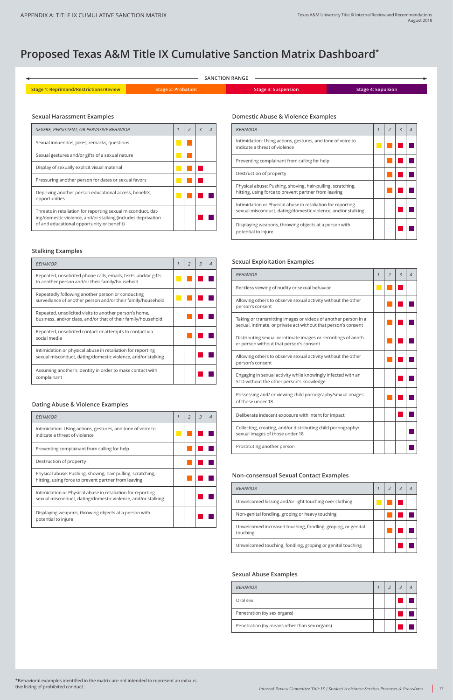| SEVERE, PERSISTENT, OR PERVASIVE BEHAVIOR                                                                                                                                  | $\mathcal{I}$ | $\mathcal{R}$ |  |
|----------------------------------------------------------------------------------------------------------------------------------------------------------------------------|---------------|---------------|--|
| Sexual innuendos, jokes, remarks, questions                                                                                                                                |               |               |  |
| Sexual gestures and/or gifts of a sexual nature                                                                                                                            |               |               |  |
| Display of sexually explicit visual material                                                                                                                               |               |               |  |
| Pressuring another person for dates or sexual favors                                                                                                                       |               |               |  |
| Depriving another person educational access, benefits,<br>opportunities                                                                                                    |               |               |  |
| Threats in retaliation for reporting sexual misconduct, dat-<br>ing/domestic violence, and/or stalking (includes deprivation<br>of and educational opportunity or benefit) |               |               |  |

## **Sexual Harassment Examples**

| <b>BEHAVIOR</b>                                                          |  |  |
|--------------------------------------------------------------------------|--|--|
| Unwelcomed kissing and/or light touching over clothing                   |  |  |
| Non-genital fondling, groping or heavy touching                          |  |  |
| Unwelcomed increased touching, fondling, groping, or genital<br>touching |  |  |
| Unwelcomed touching, fondling, groping or genital touching               |  |  |

| .                   | . . |  |
|---------------------|-----|--|
| potential to injure |     |  |

## **Non-consensual Sexual Contact Examples**

| <b>BEHAVIOR</b>                              |  |  |
|----------------------------------------------|--|--|
| Oral sex                                     |  |  |
| Penetration (by sex organs)                  |  |  |
| Penetration (by means other than sex organs) |  |  |

## **Sexual Abuse Examples**

| <b>BEHAVIOR</b>                                                                                                             | 1 | $\mathcal{P}$ | $\overline{3}$ |  |
|-----------------------------------------------------------------------------------------------------------------------------|---|---------------|----------------|--|
| Repeated, unsolicited phone calls, emails, texts, and/or gifts<br>to another person and/or their family/household           |   |               |                |  |
| Repeatedly following another person or conducting<br>surveillance of another person and/or their family/household           |   |               |                |  |
| Repeated, unsolicited visits to another person's home,<br>business, and/or class, and/or that of their family/household     |   |               |                |  |
| Repeated, unsolicited contact or attempts to contact via<br>social media                                                    |   |               |                |  |
| Intimidation or physical abuse in retaliation for reporting<br>sexual misconduct, dating/domestic violence, and/or stalking |   |               |                |  |
| Assuming another's identity in order to make contact with<br>complainant                                                    |   |               |                |  |

## **Stalking Examples**

| <b>BEHAVIOR</b>                                                                                                                  | $\mathcal I$ | $\mathcal{P}$ | $\overline{3}$ | 4 |
|----------------------------------------------------------------------------------------------------------------------------------|--------------|---------------|----------------|---|
| Reckless viewing of nudity or sexual behavior                                                                                    |              |               |                |   |
| Allowing others to observe sexual activity without the other<br>person's consent                                                 |              |               |                |   |
| Taking or transmitting images or videos of another person in a<br>sexual, intimate, or private act without that person's consent |              |               |                |   |
| Distributing sexual or intimate images or recordings of anoth-<br>er person without that person's consent                        |              |               |                |   |
| Allowing others to observe sexual activity without the other<br>person's consent                                                 |              |               |                |   |
| Engaging in sexual activity while knowingly infected with an<br>STD without the other person's knowledge                         |              |               |                |   |
| Possessing and/ or viewing child pornography/sexual images<br>of those under 18                                                  |              |               |                |   |
| Deliberate indecent exposure with intent for impact                                                                              |              |               |                |   |
| Collecting, creating, and/or distributing child pornography/<br>sexual images of those under 18                                  |              |               |                |   |
| Prostituting another person                                                                                                      |              |               |                |   |

## **Sexual Exploitation Examples**

## **Dating Abuse & Violence Examples**

| <b>BEHAVIOR</b>                                                                                                             | $\overline{\phantom{0}}$ | $\overline{3}$ | $\overline{4}$ |
|-----------------------------------------------------------------------------------------------------------------------------|--------------------------|----------------|----------------|
| Intimidation: Using actions, gestures, and tone of voice to<br>indicate a threat of violence                                |                          |                |                |
| Preventing complainant from calling for help                                                                                |                          |                |                |
| Destruction of property                                                                                                     |                          |                |                |
| Physical abuse: Pushing, shoving, hair-pulling, scratching,<br>hitting, using force to prevent partner from leaving         |                          |                |                |
| Intimidation or Physical abuse in retaliation for reporting<br>sexual misconduct, dating/domestic violence, and/or stalking |                          |                |                |
| Displaying weapons, throwing objects at a person with<br>potential to injure                                                |                          |                |                |

## **Domestic Abuse & Violence Examples**

| <b>BEHAVIOR</b>                                                                                                             | $\mathcal{I}$ | $\overline{\phantom{0}}$ | 3 | 4 |
|-----------------------------------------------------------------------------------------------------------------------------|---------------|--------------------------|---|---|
| Intimidation: Using actions, gestures, and tone of voice to<br>indicate a threat of violence                                |               |                          |   |   |
| Preventing complainant from calling for help                                                                                |               |                          |   |   |
| Destruction of property                                                                                                     |               |                          |   |   |
| Physical abuse: Pushing, shoving, hair-pulling, scratching,<br>hitting, using force to prevent partner from leaving         |               |                          |   |   |
| Intimidation or Physical abuse in retaliation for reporting<br>sexual misconduct, dating/domestic violence, and/or stalking |               |                          |   |   |
| Displaying weapons, throwing objects at a person with<br>potential to injure                                                |               |                          |   |   |

| <b>SANCTION RANGE</b>                  |                    |                            |                    |  |  |  |
|----------------------------------------|--------------------|----------------------------|--------------------|--|--|--|
| Stage 1: Reprimand/Restrictions/Review | Stage 2: Probation | <b>Stage 3: Suspension</b> | Stage 4: Expulsion |  |  |  |

# **Proposed Texas A&M Title IX Cumulative Sanction Matrix Dashboard\***

\*Behavioral examples identified in the matrix are not intended to represent an exhaus-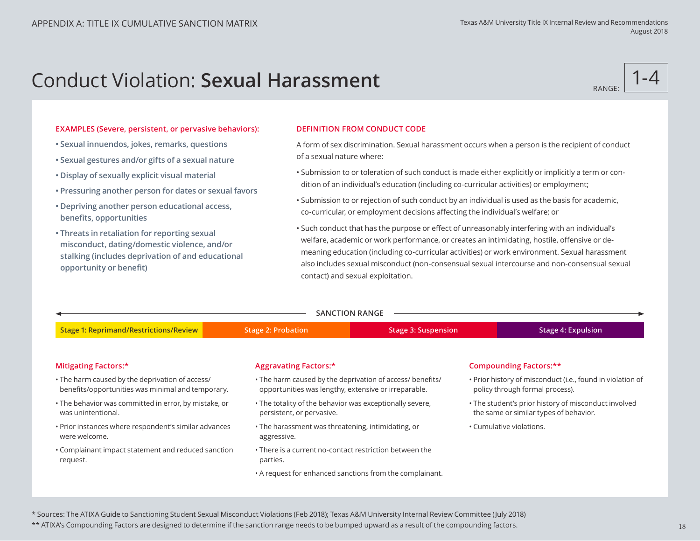# **Conduct Violation: Sexual Harassment RANGE: RANGE:**



### **EXAMPLES (Severe, persistent, or pervasive behaviors):**

- **Sexual innuendos, jokes, remarks, questions**
- **Sexual gestures and/or gifts of a sexual nature**
- **Display of sexually explicit visual material**
- **Pressuring another person for dates or sexual favors**
- **Depriving another person educational access, benefits, opportunities**
- **Threats in retaliation for reporting sexual misconduct, dating/domestic violence, and/or stalking (includes deprivation of and educational opportunity or benefit)**

### **DEFINITION FROM CONDUCT CODE**

A form of sex discrimination. Sexual harassment occurs when a person is the recipient of conduct of a sexual nature where:

- Submission to or toleration of such conduct is made either explicitly or implicitly a term or condition of an individual's education (including co-curricular activities) or employment;
- Submission to or rejection of such conduct by an individual is used as the basis for academic, co-curricular, or employment decisions affecting the individual's welfare; or
- Such conduct that has the purpose or effect of unreasonably interfering with an individual's welfare, academic or work performance, or creates an intimidating, hostile, offensive or demeaning education (including co-curricular activities) or work environment. Sexual harassment also includes sexual misconduct (non-consensual sexual intercourse and non-consensual sexual contact) and sexual exploitation.

| <b>SANCTION RANGE</b>                                                                                |                                                                                                                   |                            |                          |                                                                                                |  |  |
|------------------------------------------------------------------------------------------------------|-------------------------------------------------------------------------------------------------------------------|----------------------------|--------------------------|------------------------------------------------------------------------------------------------|--|--|
| <b>Stage 1: Reprimand/Restrictions/Review</b>                                                        | <b>Stage 2: Probation</b>                                                                                         | <b>Stage 3: Suspension</b> |                          | <b>Stage 4: Expulsion</b>                                                                      |  |  |
|                                                                                                      |                                                                                                                   |                            |                          |                                                                                                |  |  |
| Mitigating Factors:*                                                                                 | <b>Aggravating Factors:*</b>                                                                                      |                            |                          | <b>Compounding Factors:**</b>                                                                  |  |  |
| • The harm caused by the deprivation of access/<br>benefits/opportunities was minimal and temporary. | • The harm caused by the deprivation of access/ benefits/<br>opportunities was lengthy, extensive or irreparable. |                            |                          | • Prior history of misconduct (i.e., found in violation of<br>policy through formal process).  |  |  |
| . The behavior was committed in error, by mistake, or<br>was unintentional.                          | • The totality of the behavior was exceptionally severe,<br>persistent, or pervasive.                             |                            |                          | • The student's prior history of misconduct involved<br>the same or similar types of behavior. |  |  |
| . Prior instances where respondent's similar advances<br>were welcome.                               | • The harassment was threatening, intimidating, or<br>aggressive.                                                 |                            | • Cumulative violations. |                                                                                                |  |  |
| • Complainant impact statement and reduced sanction<br>request.                                      | • There is a current no-contact restriction between the<br>parties.                                               |                            |                          |                                                                                                |  |  |
|                                                                                                      | • A request for enhanced sanctions from the complainant.                                                          |                            |                          |                                                                                                |  |  |

\* Sources: The ATIXA Guide to Sanctioning Student Sexual Misconduct Violations (Feb 2018); Texas A&M University Internal Review Committee (July 2018)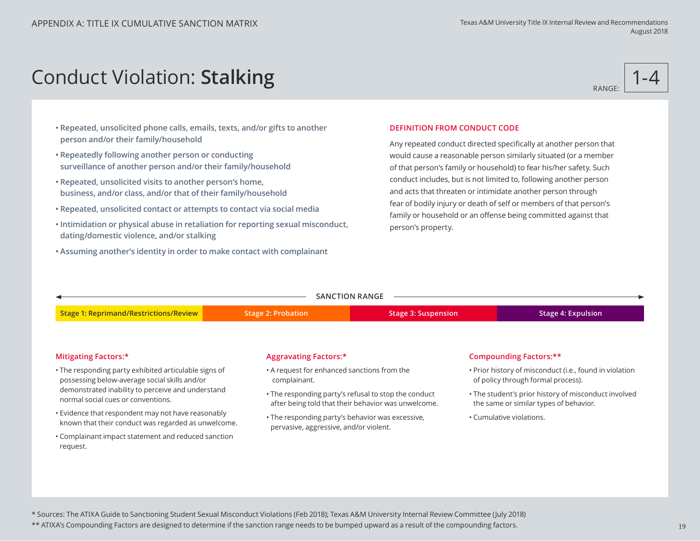Conduct Violation: **Stalking**

# RANGE: 1-4

- **Repeated, unsolicited phone calls, emails, texts, and/or gifts to another person and/or their family/household**
- **Repeatedly following another person or conducting surveillance of another person and/or their family/household**
- **Repeated, unsolicited visits to another person's home, business, and/or class, and/or that of their family/household**
- **Repeated, unsolicited contact or attempts to contact via social media**
- **Intimidation or physical abuse in retaliation for reporting sexual misconduct, dating/domestic violence, and/or stalking**
- **Assuming another's identity in order to make contact with complainant**

### **DEFINITION FROM CONDUCT CODE**

Any repeated conduct directed specifically at another person that would cause a reasonable person similarly situated (or a member of that person's family or household) to fear his/her safety. Such conduct includes, but is not limited to, following another person and acts that threaten or intimidate another person through fear of bodily injury or death of self or members of that person's family or household or an offense being committed against that person's property.

| <b>SANCTION RANGE</b>                                                                                     |                                                                                            |                                                                                                             |                                                                                               |                                                                                                |  |  |  |
|-----------------------------------------------------------------------------------------------------------|--------------------------------------------------------------------------------------------|-------------------------------------------------------------------------------------------------------------|-----------------------------------------------------------------------------------------------|------------------------------------------------------------------------------------------------|--|--|--|
| <b>Stage 1: Reprimand/Restrictions/Review</b>                                                             | <b>Stage 2: Probation</b>                                                                  | <b>Stage 3: Suspension</b>                                                                                  |                                                                                               | <b>Stage 4: Expulsion</b>                                                                      |  |  |  |
| <b>Mitigating Factors:*</b>                                                                               | <b>Aggravating Factors:*</b>                                                               |                                                                                                             |                                                                                               | <b>Compounding Factors:**</b>                                                                  |  |  |  |
| • The responding party exhibited articulable signs of<br>possessing below-average social skills and/or    | • A request for enhanced sanctions from the<br>complainant.                                |                                                                                                             | • Prior history of misconduct (i.e., found in violation<br>of policy through formal process). |                                                                                                |  |  |  |
| demonstrated inability to perceive and understand<br>normal social cues or conventions.                   |                                                                                            | • The responding party's refusal to stop the conduct<br>after being told that their behavior was unwelcome. |                                                                                               | • The student's prior history of misconduct involved<br>the same or similar types of behavior. |  |  |  |
| • Evidence that respondent may not have reasonably<br>known that their conduct was regarded as unwelcome. | • The responding party's behavior was excessive,<br>pervasive, aggressive, and/or violent. |                                                                                                             | • Cumulative violations.                                                                      |                                                                                                |  |  |  |
| • Complainant impact statement and reduced sanction<br>request.                                           |                                                                                            |                                                                                                             |                                                                                               |                                                                                                |  |  |  |

\* Sources: The ATIXA Guide to Sanctioning Student Sexual Misconduct Violations (Feb 2018); Texas A&M University Internal Review Committee (July 2018)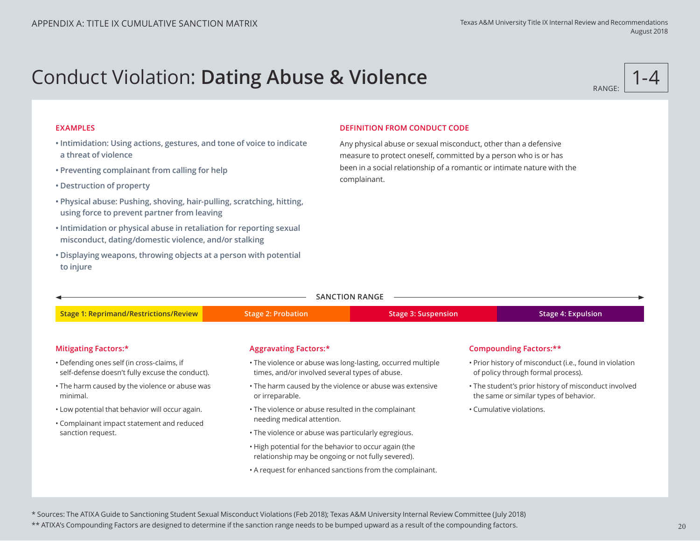# Conduct Violation: **Dating Abuse & Violence**



### **EXAMPLES**

- **Intimidation: Using actions, gestures, and tone of voice to indicate a threat of violence**
- **Preventing complainant from calling for help**
- **Destruction of property**
- **Physical abuse: Pushing, shoving, hair-pulling, scratching, hitting, using force to prevent partner from leaving**
- **Intimidation or physical abuse in retaliation for reporting sexual misconduct, dating/domestic violence, and/or stalking**
- **Displaying weapons, throwing objects at a person with potential to injure**

### **DEFINITION FROM CONDUCT CODE**

Any physical abuse or sexual misconduct, other than a defensive measure to protect oneself, committed by a person who is or has been in a social relationship of a romantic or intimate nature with the complainant.

| <b>SANCTION RANGE</b>                                                                         |                                                                                                               |                            |  |                                                                                                |  |  |
|-----------------------------------------------------------------------------------------------|---------------------------------------------------------------------------------------------------------------|----------------------------|--|------------------------------------------------------------------------------------------------|--|--|
| <b>Stage 1: Reprimand/Restrictions/Review</b>                                                 | <b>Stage 2: Probation</b>                                                                                     | <b>Stage 3: Suspension</b> |  | <b>Stage 4: Expulsion</b>                                                                      |  |  |
|                                                                                               |                                                                                                               |                            |  |                                                                                                |  |  |
| <b>Mitigating Factors:*</b>                                                                   | <b>Aggravating Factors:*</b>                                                                                  |                            |  | Compounding Factors:**                                                                         |  |  |
| • Defending ones self (in cross-claims, if<br>self-defense doesn't fully excuse the conduct). | . The violence or abuse was long-lasting, occurred multiple<br>times, and/or involved several types of abuse. |                            |  | • Prior history of misconduct (i.e., found in violation<br>of policy through formal process).  |  |  |
| • The harm caused by the violence or abuse was<br>minimal.                                    | • The harm caused by the violence or abuse was extensive<br>or irreparable.                                   |                            |  | . The student's prior history of misconduct involved<br>the same or similar types of behavior. |  |  |
| . Low potential that behavior will occur again.                                               | • Cumulative violations.<br>• The violence or abuse resulted in the complainant                               |                            |  |                                                                                                |  |  |
| • Complainant impact statement and reduced                                                    | needing medical attention.                                                                                    |                            |  |                                                                                                |  |  |
| sanction request.                                                                             | . The violence or abuse was particularly egregious.                                                           |                            |  |                                                                                                |  |  |
|                                                                                               | . High potential for the behavior to occur again (the<br>relationship may be ongoing or not fully severed).   |                            |  |                                                                                                |  |  |
|                                                                                               | • A request for enhanced sanctions from the complainant.                                                      |                            |  |                                                                                                |  |  |
|                                                                                               |                                                                                                               |                            |  |                                                                                                |  |  |

\* Sources: The ATIXA Guide to Sanctioning Student Sexual Misconduct Violations (Feb 2018); Texas A&M University Internal Review Committee (July 2018)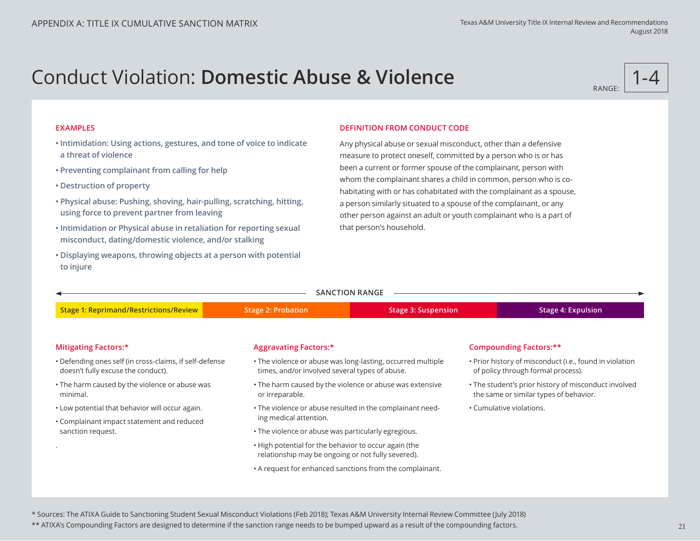# Conduct Violation: **Domestic Abuse & Violence**



### **EXAMPLES**

- **Intimidation: Using actions, gestures, and tone of voice to indicate a threat of violence**
- **Preventing complainant from calling for help**
- **Destruction of property**
- **Physical abuse: Pushing, shoving, hair-pulling, scratching, hitting, using force to prevent partner from leaving**
- **Intimidation or Physical abuse in retaliation for reporting sexual misconduct, dating/domestic violence, and/or stalking**
- **Displaying weapons, throwing objects at a person with potential to injure**

### **DEFINITION FROM CONDUCT CODE**

Any physical abuse or sexual misconduct, other than a defensive measure to protect oneself, committed by a person who is or has been a current or former spouse of the complainant, person with whom the complainant shares a child in common, person who is cohabitating with or has cohabitated with the complainant as a spouse, a person similarly situated to a spouse of the complainant, or any other person against an adult or youth complainant who is a part of that person's household.

| <b>SANCTION RANGE</b>                                                                         |                                                                                                             |                                                             |                          |                                                                                                |  |  |
|-----------------------------------------------------------------------------------------------|-------------------------------------------------------------------------------------------------------------|-------------------------------------------------------------|--------------------------|------------------------------------------------------------------------------------------------|--|--|
| <b>Stage 1: Reprimand/Restrictions/Review</b>                                                 | <b>Stage 2: Probation</b>                                                                                   | <b>Stage 3: Suspension</b>                                  |                          | <b>Stage 4: Expulsion</b>                                                                      |  |  |
|                                                                                               |                                                                                                             |                                                             |                          |                                                                                                |  |  |
| Mitigating Factors:*                                                                          | <b>Aggravating Factors:*</b>                                                                                |                                                             |                          | <b>Compounding Factors:**</b>                                                                  |  |  |
| • Defending ones self (in cross-claims, if self-defense<br>doesn't fully excuse the conduct). | times, and/or involved several types of abuse.                                                              | . The violence or abuse was long-lasting, occurred multiple |                          | . Prior history of misconduct (i.e., found in violation<br>of policy through formal process).  |  |  |
| • The harm caused by the violence or abuse was<br>minimal.                                    | or irreparable.                                                                                             | • The harm caused by the violence or abuse was extensive    |                          | . The student's prior history of misconduct involved<br>the same or similar types of behavior. |  |  |
| • Low potential that behavior will occur again.                                               | • The violence or abuse resulted in the complainant need-                                                   |                                                             | • Cumulative violations. |                                                                                                |  |  |
| • Complainant impact statement and reduced                                                    | ing medical attention.                                                                                      |                                                             |                          |                                                                                                |  |  |
| sanction request.                                                                             | . The violence or abuse was particularly egregious.                                                         |                                                             |                          |                                                                                                |  |  |
|                                                                                               | . High potential for the behavior to occur again (the<br>relationship may be ongoing or not fully severed). |                                                             |                          |                                                                                                |  |  |
|                                                                                               | • A request for enhanced sanctions from the complainant.                                                    |                                                             |                          |                                                                                                |  |  |
|                                                                                               |                                                                                                             |                                                             |                          |                                                                                                |  |  |

\* Sources: The ATIXA Guide to Sanctioning Student Sexual Misconduct Violations (Feb 2018); Texas A&M University Internal Review Committee (July 2018)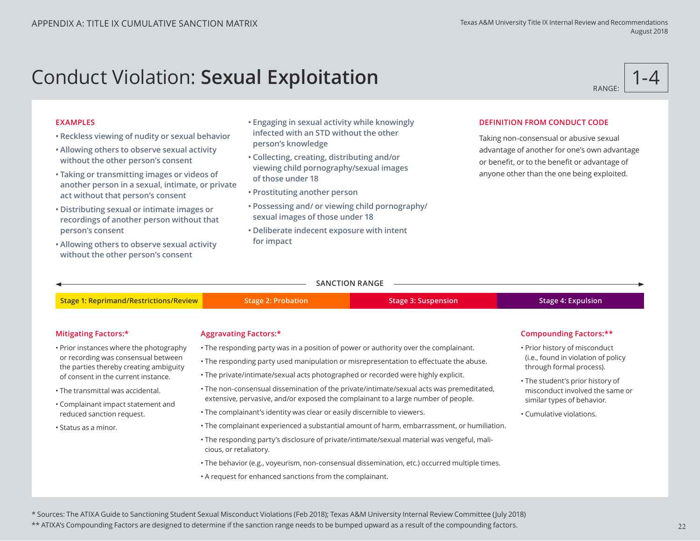# Conduct Violation: **Sexual Exploitation**

RANGE: 1-4

### **EXAMPLES**

- **Reckless viewing of nudity or sexual behavior**
- **Allowing others to observe sexual activity without the other person's consent**
- **Taking or transmitting images or videos of another person in a sexual, intimate, or private act without that person's consent**
- **Distributing sexual or intimate images or recordings of another person without that person's consent**
- **Allowing others to observe sexual activity without the other person's consent**
- **Engaging in sexual activity while knowingly infected with an STD without the other person's knowledge**
- **Collecting, creating, distributing and/or viewing child pornography/sexual images of those under 18**
- **Prostituting another person**
- **Possessing and/ or viewing child pornography/ sexual images of those under 18**
- **Deliberate indecent exposure with intent for impact**

## **DEFINITION FROM CONDUCT CODE**

Taking non-consensual or abusive sexual advantage of another for one's own advantage or benefit, or to the benefit or advantage of anyone other than the one being exploited.

|                                                                                                                                                                 |                                                                                                                                                                               | <b>SANCTION RANGE</b>                                                                      |                           |  |
|-----------------------------------------------------------------------------------------------------------------------------------------------------------------|-------------------------------------------------------------------------------------------------------------------------------------------------------------------------------|--------------------------------------------------------------------------------------------|---------------------------|--|
| <b>Stage 1: Reprimand/Restrictions/Review</b>                                                                                                                   | <b>Stage 2: Probation</b>                                                                                                                                                     | <b>Stage 3: Suspension</b>                                                                 | <b>Stage 4: Expulsion</b> |  |
| Mitigating Factors:*                                                                                                                                            | <b>Aggravating Factors:*</b>                                                                                                                                                  |                                                                                            | Compounding Factors:**    |  |
| • Prior instances where the photography<br>or recording was consensual between<br>the parties thereby creating ambiguity<br>of consent in the current instance. | • Prior history of misconduct<br>(i.e., found in violation of policy<br>through formal process).<br>• The student's prior history of                                          |                                                                                            |                           |  |
| • The transmittal was accidental.<br>• Complainant impact statement and                                                                                         | • The non-consensual dissemination of the private/intimate/sexual acts was premeditated,<br>extensive, pervasive, and/or exposed the complainant to a large number of people. |                                                                                            |                           |  |
| reduced sanction request.                                                                                                                                       | . The complainant's identity was clear or easily discernible to viewers.                                                                                                      | • The complainant experienced a substantial amount of harm, embarrassment, or humiliation. | • Cumulative violations.  |  |
| . Status as a minor.                                                                                                                                            | • The responding party's disclosure of private/intimate/sexual material was vengeful, mali-<br>cious, or retaliatory.                                                         |                                                                                            |                           |  |

- The behavior (e.g., voyeurism, non-consensual dissemination, etc.) occurred multiple times.
- A request for enhanced sanctions from the complainant.

\* Sources: The ATIXA Guide to Sanctioning Student Sexual Misconduct Violations (Feb 2018); Texas A&M University Internal Review Committee (July 2018)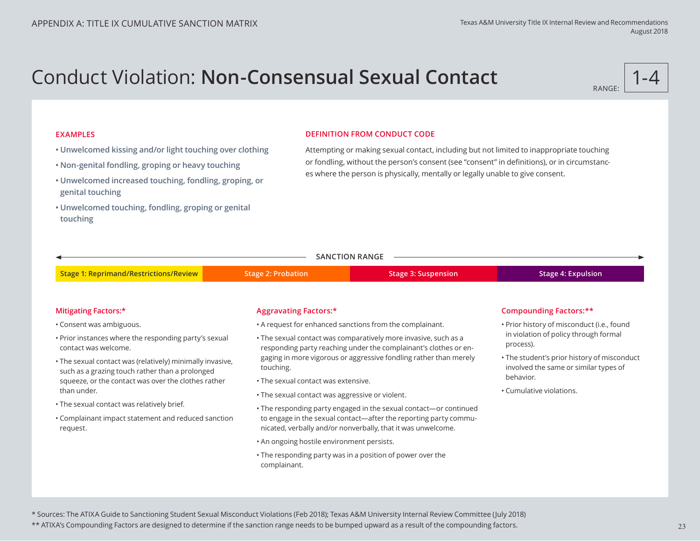# Conduct Violation: **Non-Consensual Sexual Contact**



### **EXAMPLES**

- **Unwelcomed kissing and/or light touching over clothing**
- **Non-genital fondling, groping or heavy touching**
- **Unwelcomed increased touching, fondling, groping, or genital touching**
- **Unwelcomed touching, fondling, groping or genital touching**

### **DEFINITION FROM CONDUCT CODE**

Attempting or making sexual contact, including but not limited to inappropriate touching or fondling, without the person's consent (see "consent" in definitions), or in circumstances where the person is physically, mentally or legally unable to give consent.

|  |  |  | SANCTION RANGE |  |  |  |
|--|--|--|----------------|--|--|--|
|  |  |  |                |  |  |  |

**Stage 1: Reprimand/Restrictions/Review Stage 2: Probation Stage 3: Suspension Stage 4: Expulsion**

### **Mitigating Factors:\***

- Consent was ambiguous.
- Prior instances where the responding party's sexual contact was welcome.
- The sexual contact was (relatively) minimally invasive, such as a grazing touch rather than a prolonged squeeze, or the contact was over the clothes rather than under.
- The sexual contact was relatively brief.
- Complainant impact statement and reduced sanction request.

### **Aggravating Factors:\***

- A request for enhanced sanctions from the complainant.
- The sexual contact was comparatively more invasive, such as a responding party reaching under the complainant's clothes or engaging in more vigorous or aggressive fondling rather than merely touching.
- The sexual contact was extensive.
- The sexual contact was aggressive or violent.
- The responding party engaged in the sexual contact—or continued to engage in the sexual contact—after the reporting party communicated, verbally and/or nonverbally, that it was unwelcome.
- An ongoing hostile environment persists.
- The responding party was in a position of power over the complainant.

### **Compounding Factors:\*\***

- Prior history of misconduct (i.e., found in violation of policy through formal process).
- The student's prior history of misconduct involved the same or similar types of behavior.
- Cumulative violations.

\* Sources: The ATIXA Guide to Sanctioning Student Sexual Misconduct Violations (Feb 2018); Texas A&M University Internal Review Committee (July 2018)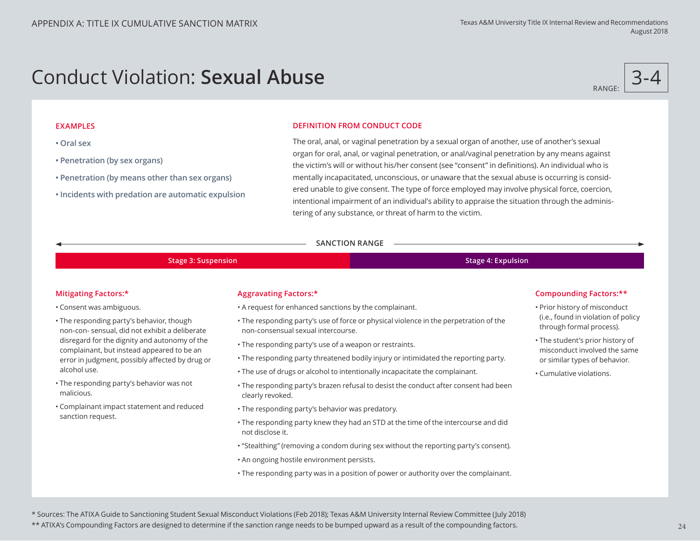# Conduct Violation: **Sexual Abuse**



### **EXAMPLES**

- **Oral sex**
- **Penetration (by sex organs)**
- **Penetration (by means other than sex organs)**
- **Incidents with predation are automatic expulsion**

### **DEFINITION FROM CONDUCT CODE**

The oral, anal, or vaginal penetration by a sexual organ of another, use of another's sexual organ for oral, anal, or vaginal penetration, or anal/vaginal penetration by any means against the victim's will or without his/her consent (see "consent" in definitions). An individual who is mentally incapacitated, unconscious, or unaware that the sexual abuse is occurring is considered unable to give consent. The type of force employed may involve physical force, coercion, intentional impairment of an individual's ability to appraise the situation through the administering of any substance, or threat of harm to the victim.

### **SANCTION RANGE**

### **Stage 3: Suspension Stage 4: Expulsion**

### **Mitigating Factors:\***

• Consent was ambiguous.

- The responding party's behavior, though non-con- sensual, did not exhibit a deliberate disregard for the dignity and autonomy of the complainant, but instead appeared to be an error in judgment, possibly affected by drug or alcohol use.
- The responding party's behavior was not malicious.
- Complainant impact statement and reduced sanction request.

### **Aggravating Factors:\***

- A request for enhanced sanctions by the complainant.
- The responding party's use of force or physical violence in the perpetration of the non-consensual sexual intercourse.
- The responding party's use of a weapon or restraints.
- The responding party threatened bodily injury or intimidated the reporting party.
- The use of drugs or alcohol to intentionally incapacitate the complainant.
- The responding party's brazen refusal to desist the conduct after consent had been clearly revoked.
- The responding party's behavior was predatory.
- The responding party knew they had an STD at the time of the intercourse and did not disclose it.
- "Stealthing" (removing a condom during sex without the reporting party's consent).
- An ongoing hostile environment persists.
- The responding party was in a position of power or authority over the complainant.

### **Compounding Factors:\*\***

- Prior history of misconduct (i.e., found in violation of policy through formal process).
- The student's prior history of misconduct involved the same or similar types of behavior.
- Cumulative violations.

\* Sources: The ATIXA Guide to Sanctioning Student Sexual Misconduct Violations (Feb 2018); Texas A&M University Internal Review Committee (July 2018)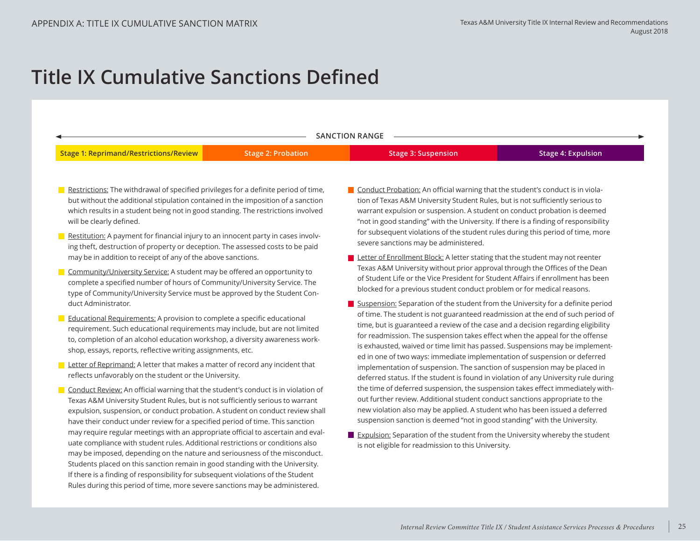# **Title IX Cumulative Sanctions Defined**

| <b>SANCTION RANGE</b>                                                                                                                                                                                                                                                                                                                                                                                                 |                           |                                                                                                                                                                                                                                                                                                                                                                                                                                                                                                      |                           |  |  |  |
|-----------------------------------------------------------------------------------------------------------------------------------------------------------------------------------------------------------------------------------------------------------------------------------------------------------------------------------------------------------------------------------------------------------------------|---------------------------|------------------------------------------------------------------------------------------------------------------------------------------------------------------------------------------------------------------------------------------------------------------------------------------------------------------------------------------------------------------------------------------------------------------------------------------------------------------------------------------------------|---------------------------|--|--|--|
| <b>Stage 1: Reprimand/Restrictions/Review</b>                                                                                                                                                                                                                                                                                                                                                                         | <b>Stage 2: Probation</b> | <b>Stage 3: Suspension</b>                                                                                                                                                                                                                                                                                                                                                                                                                                                                           | <b>Stage 4: Expulsion</b> |  |  |  |
| Restrictions: The withdrawal of specified privileges for a definite period of time,<br>but without the additional stipulation contained in the imposition of a sanction<br>which results in a student being not in good standing. The restrictions involved<br>will be clearly defined.<br>Restitution: A payment for financial injury to an innocent party in cases involv-                                          |                           | Conduct Probation: An official warning that the student's conduct is in viola-<br>tion of Texas A&M University Student Rules, but is not sufficiently serious to<br>warrant expulsion or suspension. A student on conduct probation is deemed<br>"not in good standing" with the University. If there is a finding of responsibility<br>for subsequent violations of the student rules during this period of time, more<br>severe sanctions may be administered.                                     |                           |  |  |  |
| ing theft, destruction of property or deception. The assessed costs to be paid<br>may be in addition to receipt of any of the above sanctions.                                                                                                                                                                                                                                                                        |                           | Letter of Enrollment Block: A letter stating that the student may not reenter                                                                                                                                                                                                                                                                                                                                                                                                                        |                           |  |  |  |
| Community/University Service: A student may be offered an opportunity to<br>complete a specified number of hours of Community/University Service. The<br>type of Community/University Service must be approved by the Student Con-                                                                                                                                                                                    |                           | Texas A&M University without prior approval through the Offices of the Dean<br>of Student Life or the Vice President for Student Affairs if enrollment has been<br>blocked for a previous student conduct problem or for medical reasons.                                                                                                                                                                                                                                                            |                           |  |  |  |
| duct Administrator.<br>Educational Requirements: A provision to complete a specific educational<br>requirement. Such educational requirements may include, but are not limited<br>to, completion of an alcohol education workshop, a diversity awareness work-<br>shop, essays, reports, reflective writing assignments, etc.                                                                                         |                           | Suspension: Separation of the student from the University for a definite period<br>of time. The student is not guaranteed readmission at the end of such period of<br>time, but is guaranteed a review of the case and a decision regarding eligibility<br>for readmission. The suspension takes effect when the appeal for the offense<br>is exhausted, waived or time limit has passed. Suspensions may be implement-<br>ed in one of two ways: immediate implementation of suspension or deferred |                           |  |  |  |
| Letter of Reprimand: A letter that makes a matter of record any incident that<br>reflects unfavorably on the student or the University.                                                                                                                                                                                                                                                                               |                           | implementation of suspension. The sanction of suspension may be placed in<br>deferred status. If the student is found in violation of any University rule during                                                                                                                                                                                                                                                                                                                                     |                           |  |  |  |
| Conduct Review: An official warning that the student's conduct is in violation of<br>Texas A&M University Student Rules, but is not sufficiently serious to warrant<br>expulsion, suspension, or conduct probation. A student on conduct review shall<br>have their conduct under review for a specified period of time. This sanction                                                                                |                           | the time of deferred suspension, the suspension takes effect immediately with-<br>out further review. Additional student conduct sanctions appropriate to the<br>new violation also may be applied. A student who has been issued a deferred<br>suspension sanction is deemed "not in good standing" with the University.                                                                                                                                                                            |                           |  |  |  |
| may require regular meetings with an appropriate official to ascertain and eval-<br>uate compliance with student rules. Additional restrictions or conditions also<br>may be imposed, depending on the nature and seriousness of the misconduct.<br>Students placed on this sanction remain in good standing with the University.<br>If there is a finding of responsibility for subsequent violations of the Student |                           | Expulsion: Separation of the student from the University whereby the student<br>is not eligible for readmission to this University.                                                                                                                                                                                                                                                                                                                                                                  |                           |  |  |  |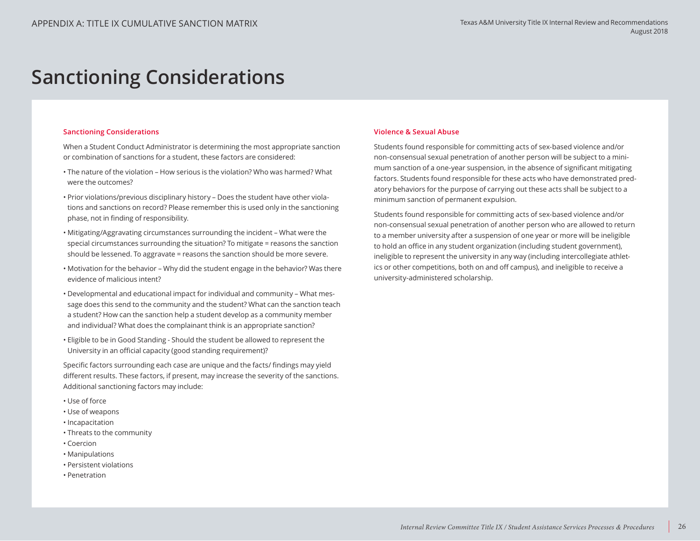# **Sanctioning Considerations**

#### **Sanctioning Considerations**

When a Student Conduct Administrator is determining the most appropriate sanction or combination of sanctions for a student, these factors are considered:

- The nature of the violation How serious is the violation? Who was harmed? What were the outcomes?
- Prior violations/previous disciplinary history Does the student have other violations and sanctions on record? Please remember this is used only in the sanctioning phase, not in finding of responsibility.
- Mitigating/Aggravating circumstances surrounding the incident What were the special circumstances surrounding the situation? To mitigate = reasons the sanction should be lessened. To aggravate = reasons the sanction should be more severe.
- Motivation for the behavior Why did the student engage in the behavior? Was there evidence of malicious intent?
- Developmental and educational impact for individual and community What message does this send to the community and the student? What can the sanction teach a student? How can the sanction help a student develop as a community member and individual? What does the complainant think is an appropriate sanction?
- Eligible to be in Good Standing Should the student be allowed to represent the University in an official capacity (good standing requirement)?

Specific factors surrounding each case are unique and the facts/ findings may yield different results. These factors, if present, may increase the severity of the sanctions. Additional sanctioning factors may include:

- Use of force
- Use of weapons
- Incapacitation
- Threats to the community
- Coercion
- Manipulations
- Persistent violations
- Penetration

### **Violence & Sexual Abuse**

Students found responsible for committing acts of sex-based violence and/or non-consensual sexual penetration of another person will be subject to a minimum sanction of a one-year suspension, in the absence of significant mitigating factors. Students found responsible for these acts who have demonstrated predatory behaviors for the purpose of carrying out these acts shall be subject to a minimum sanction of permanent expulsion.

Students found responsible for committing acts of sex-based violence and/or non-consensual sexual penetration of another person who are allowed to return to a member university after a suspension of one year or more will be ineligible to hold an office in any student organization (including student government), ineligible to represent the university in any way (including intercollegiate athletics or other competitions, both on and off campus), and ineligible to receive a university-administered scholarship.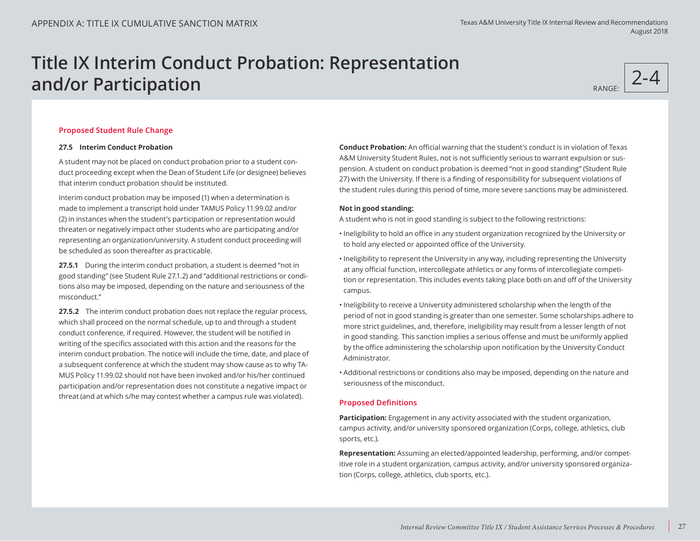# **Title IX Interim Conduct Probation: Representation and/or Participation RANGE: RANGE: RANGE: RANGE: RANGE: RANGE:**

2-4

### **Proposed Student Rule Change**

#### **27.5 Interim Conduct Probation**

A student may not be placed on conduct probation prior to a student conduct proceeding except when the Dean of Student Life (or designee) believes that interim conduct probation should be instituted.

Interim conduct probation may be imposed (1) when a determination is made to implement a transcript hold under TAMUS Policy 11.99.02 and/or (2) in instances when the student's participation or representation would threaten or negatively impact other students who are participating and/or representing an organization/university. A student conduct proceeding will be scheduled as soon thereafter as practicable.

**27.5.1** During the interim conduct probation, a student is deemed "not in good standing" (see Student Rule 27.1.2) and "additional restrictions or conditions also may be imposed, depending on the nature and seriousness of the misconduct."

**27.5.2** The interim conduct probation does not replace the regular process, which shall proceed on the normal schedule, up to and through a student conduct conference, if required. However, the student will be notified in writing of the specifics associated with this action and the reasons for the interim conduct probation. The notice will include the time, date, and place of a subsequent conference at which the student may show cause as to why TA-MUS Policy 11.99.02 should not have been invoked and/or his/her continued participation and/or representation does not constitute a negative impact or threat (and at which s/he may contest whether a campus rule was violated).

**Conduct Probation:** An official warning that the student's conduct is in violation of Texas A&M University Student Rules, not is not sufficiently serious to warrant expulsion or suspension. A student on conduct probation is deemed "not in good standing" (Student Rule 27) with the University. If there is a finding of responsibility for subsequent violations of the student rules during this period of time, more severe sanctions may be administered.

### **Not in good standing:**

A student who is not in good standing is subject to the following restrictions:

- Ineligibility to hold an office in any student organization recognized by the University or to hold any elected or appointed office of the University.
- Ineligibility to represent the University in any way, including representing the University at any official function, intercollegiate athletics or any forms of intercollegiate competition or representation. This includes events taking place both on and off of the University campus.
- Ineligibility to receive a University administered scholarship when the length of the period of not in good standing is greater than one semester. Some scholarships adhere to more strict guidelines, and, therefore, ineligibility may result from a lesser length of not in good standing. This sanction implies a serious offense and must be uniformly applied by the office administering the scholarship upon notification by the University Conduct Administrator.
- Additional restrictions or conditions also may be imposed, depending on the nature and seriousness of the misconduct.

### **Proposed Definitions**

**Participation:** Engagement in any activity associated with the student organization, campus activity, and/or university sponsored organization (Corps, college, athletics, club sports, etc.).

**Representation:** Assuming an elected/appointed leadership, performing, and/or competitive role in a student organization, campus activity, and/or university sponsored organization (Corps, college, athletics, club sports, etc.).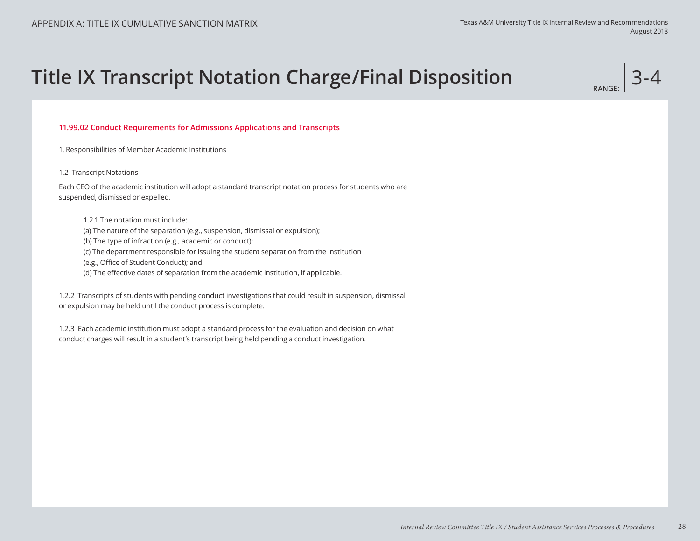# **Title IX Transcript Notation Charge/Final Disposition** 3-4

RANGE:

### **11.99.02 Conduct Requirements for Admissions Applications and Transcripts**

1. Responsibilities of Member Academic Institutions

#### 1.2 Transcript Notations

Each CEO of the academic institution will adopt a standard transcript notation process for students who are suspended, dismissed or expelled.

1.2.1 The notation must include:

(a) The nature of the separation (e.g., suspension, dismissal or expulsion);

(b) The type of infraction (e.g., academic or conduct);

(c) The department responsible for issuing the student separation from the institution

(e.g., Office of Student Conduct); and

(d) The effective dates of separation from the academic institution, if applicable.

1.2.2 Transcripts of students with pending conduct investigations that could result in suspension, dismissal or expulsion may be held until the conduct process is complete.

1.2.3 Each academic institution must adopt a standard process for the evaluation and decision on what conduct charges will result in a student's transcript being held pending a conduct investigation.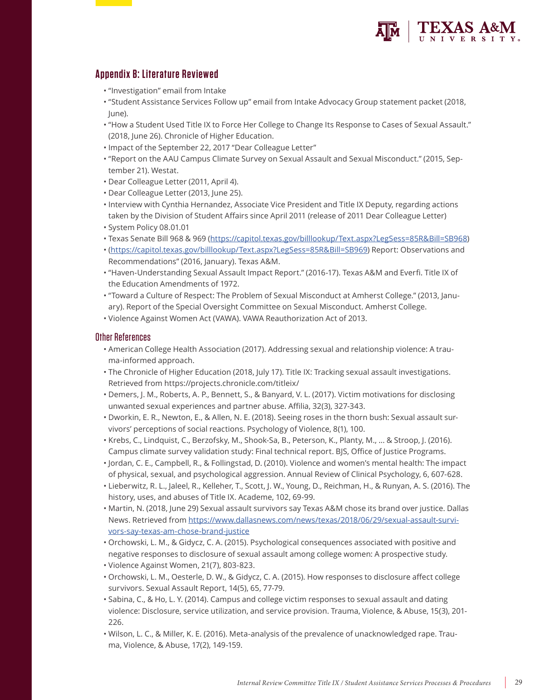

# **Appendix B: Literature Reviewed**

- "Investigation" email from Intake
- "Student Assistance Services Follow up" email from Intake Advocacy Group statement packet (2018, June).
- "How a Student Used Title IX to Force Her College to Change Its Response to Cases of Sexual Assault." (2018, June 26). Chronicle of Higher Education.
- Impact of the September 22, 2017 "Dear Colleague Letter"
- "Report on the AAU Campus Climate Survey on Sexual Assault and Sexual Misconduct." (2015, September 21). Westat.
- Dear Colleague Letter (2011, April 4).
- Dear Colleague Letter (2013, June 25).
- Interview with Cynthia Hernandez, Associate Vice President and Title IX Deputy, regarding actions taken by the Division of Student Affairs since April 2011 (release of 2011 Dear Colleague Letter)
- System Policy 08.01.01
- Texas Senate Bill 968 & 969 (https://capitol.texas.gov/billlookup/Text.aspx?LegSess=85R&Bill=SB968)
- (https://capitol.texas.gov/billlookup/Text.aspx?LegSess=85R&Bill=SB969) Report: Observations and Recommendations" (2016, January). Texas A&M.
- "Haven-Understanding Sexual Assault Impact Report." (2016-17). Texas A&M and Everfi. Title IX of the Education Amendments of 1972.
- "Toward a Culture of Respect: The Problem of Sexual Misconduct at Amherst College." (2013, January). Report of the Special Oversight Committee on Sexual Misconduct. Amherst College.
- Violence Against Women Act (VAWA). VAWA Reauthorization Act of 2013.

### Other References

- American College Health Association (2017). Addressing sexual and relationship violence: A trauma-informed approach.
- The Chronicle of Higher Education (2018, July 17). Title IX: Tracking sexual assault investigations. Retrieved from https://projects.chronicle.com/titleix/
- Demers, J. M., Roberts, A. P., Bennett, S., & Banyard, V. L. (2017). Victim motivations for disclosing unwanted sexual experiences and partner abuse. Affilia, 32(3), 327-343.
- Dworkin, E. R., Newton, E., & Allen, N. E. (2018). Seeing roses in the thorn bush: Sexual assault survivors' perceptions of social reactions. Psychology of Violence, 8(1), 100.
- Krebs, C., Lindquist, C., Berzofsky, M., Shook-Sa, B., Peterson, K., Planty, M., ... & Stroop, J. (2016). Campus climate survey validation study: Final technical report. BJS, Office of Justice Programs.
- Jordan, C. E., Campbell, R., & Follingstad, D. (2010). Violence and women's mental health: The impact of physical, sexual, and psychological aggression. Annual Review of Clinical Psychology, 6, 607-628.
- Lieberwitz, R. L., Jaleel, R., Kelleher, T., Scott, J. W., Young, D., Reichman, H., & Runyan, A. S. (2016). The history, uses, and abuses of Title IX. Academe, 102, 69-99.
- Martin, N. (2018, June 29) Sexual assault survivors say Texas A&M chose its brand over justice. Dallas News. Retrieved from https://www.dallasnews.com/news/texas/2018/06/29/sexual-assault-survivors-say-texas-am-chose-brand-justice
- Orchowski, L. M., & Gidycz, C. A. (2015). Psychological consequences associated with positive and negative responses to disclosure of sexual assault among college women: A prospective study.
- Violence Against Women, 21(7), 803-823.
- Orchowski, L. M., Oesterle, D. W., & Gidycz, C. A. (2015). How responses to disclosure affect college survivors. Sexual Assault Report, 14(5), 65, 77-79.
- Sabina, C., & Ho, L. Y. (2014). Campus and college victim responses to sexual assault and dating violence: Disclosure, service utilization, and service provision. Trauma, Violence, & Abuse, 15(3), 201- 226.
- Wilson, L. C., & Miller, K. E. (2016). Meta-analysis of the prevalence of unacknowledged rape. Trauma, Violence, & Abuse, 17(2), 149-159.